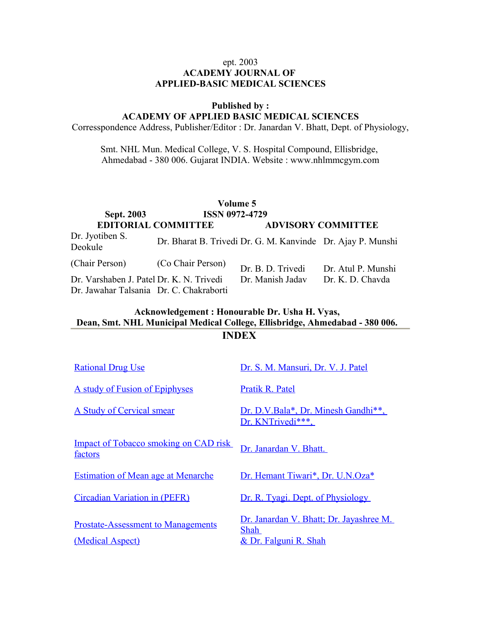## ept. 2003 **ACADEMY JOURNAL OF APPLIED-BASIC MEDICAL SCIENCES**

#### **Published by :**

# **ACADEMY OF APPLIED BASIC MEDICAL SCIENCES**

Corresspondence Address, Publisher/Editor : Dr. Janardan V. Bhatt, Dept. of Physiology,

Smt. NHL Mun. Medical College, V. S. Hospital Compound, Ellisbridge, Ahmedabad - 380 006. Gujarat INDIA. Website : www.nhlmmcgym.com

|                                          |                            | Volume 5                                                    |                           |
|------------------------------------------|----------------------------|-------------------------------------------------------------|---------------------------|
| <b>Sept. 2003</b>                        | <b>ISSN 0972-4729</b>      |                                                             |                           |
|                                          | <b>EDITORIAL COMMITTEE</b> |                                                             | <b>ADVISORY COMMITTEE</b> |
| Dr. Jyotiben S.<br>Deokule               |                            | Dr. Bharat B. Trivedi Dr. G. M. Kanvinde Dr. Ajay P. Munshi |                           |
| (Chair Person)                           | (Co Chair Person)          | Dr. B. D. Trivedi                                           | Dr. Atul P. Munshi        |
| Dr. Varshaben J. Patel Dr. K. N. Trivedi |                            | Dr. Manish Jadav                                            | Dr. K. D. Chavda          |
| Dr. Jawahar Talsania Dr. C. Chakraborti  |                            |                                                             |                           |

# **Acknowledgement : Honourable Dr. Usha H. Vyas, Dean, Smt. NHL Municipal Medical College, Ellisbridge, Ahmedabad - 380 006. INDEX**

| <b>Rational Drug Use</b>                                      | Dr. S. M. Mansuri, Dr. V. J. Patel                                              |
|---------------------------------------------------------------|---------------------------------------------------------------------------------|
| A study of Fusion of Epiphyses                                | Pratik R. Patel                                                                 |
| A Study of Cervical smear                                     | Dr. D.V.Bala*, Dr. Minesh Gandhi**,<br>Dr. KNTrivedi***.                        |
| <b>Impact of Tobacco smoking on CAD risk</b><br>factors       | Dr. Janardan V. Bhatt.                                                          |
| <b>Estimation of Mean age at Menarche</b>                     | Dr. Hemant Tiwari*, Dr. U.N.Oza*                                                |
| Circadian Variation in (PEFR)                                 | Dr. R. Tyagi. Dept. of Physiology                                               |
| <b>Prostate-Assessment to Managements</b><br>(Medical Aspect) | Dr. Janardan V. Bhatt; Dr. Jayashree M.<br><b>Shah</b><br>& Dr. Falguni R. Shah |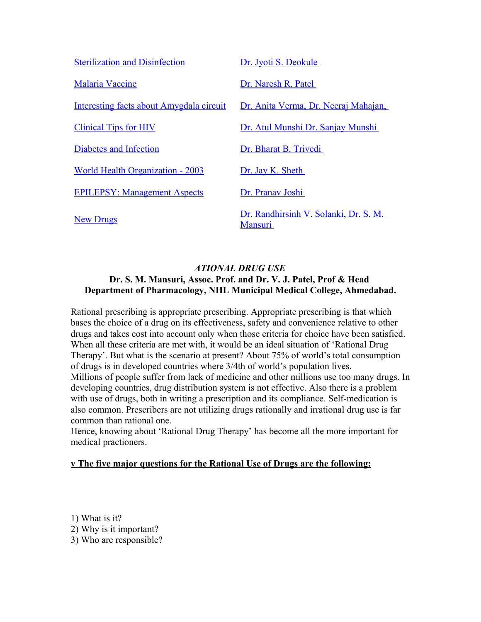| <b>Sterilization and Disinfection</b>    | Dr. Jyoti S. Deokule                                    |
|------------------------------------------|---------------------------------------------------------|
| <b>Malaria Vaccine</b>                   | Dr. Naresh R. Patel                                     |
| Interesting facts about Amygdala circuit | Dr. Anita Verma, Dr. Neeraj Mahajan,                    |
| <b>Clinical Tips for HIV</b>             | Dr. Atul Munshi Dr. Sanjay Munshi                       |
| Diabetes and Infection                   | Dr. Bharat B. Trivedi                                   |
| <b>World Health Organization - 2003</b>  | Dr. Jay K. Sheth                                        |
| <b>EPILEPSY: Management Aspects</b>      | Dr. Pranav Joshi                                        |
| <b>New Drugs</b>                         | Dr. Randhirsinh V. Solanki, Dr. S. M.<br><b>Mansuri</b> |

# *ATIONAL DRUG USE* **Dr. S. M. Mansuri, Assoc. Prof. and Dr. V. J. Patel, Prof & Head Department of Pharmacology, NHL Municipal Medical College, Ahmedabad.**

Rational prescribing is appropriate prescribing. Appropriate prescribing is that which bases the choice of a drug on its effectiveness, safety and convenience relative to other drugs and takes cost into account only when those criteria for choice have been satisfied. When all these criteria are met with, it would be an ideal situation of 'Rational Drug Therapy'. But what is the scenario at present? About 75% of world's total consumption of drugs is in developed countries where 3/4th of world's population lives. Millions of people suffer from lack of medicine and other millions use too many drugs. In developing countries, drug distribution system is not effective. Also there is a problem with use of drugs, both in writing a prescription and its compliance. Self-medication is also common. Prescribers are not utilizing drugs rationally and irrational drug use is far common than rational one.

Hence, knowing about 'Rational Drug Therapy' has become all the more important for medical practioners.

# **v The five major questions for the Rational Use of Drugs are the following:**

1) What is it? 2) Why is it important? 3) Who are responsible?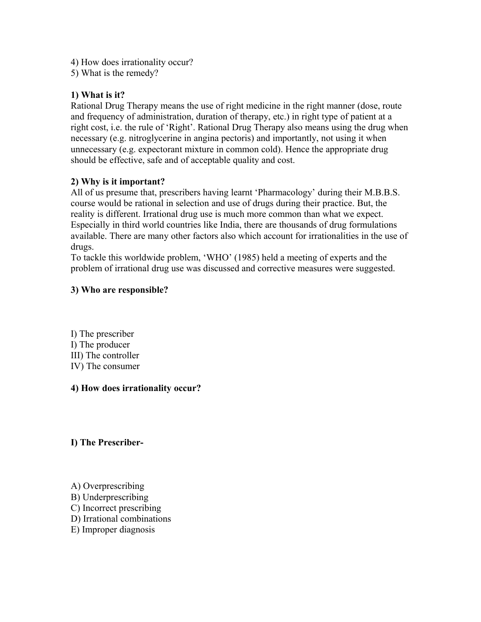- 4) How does irrationality occur?
- 5) What is the remedy?

# **1) What is it?**

Rational Drug Therapy means the use of right medicine in the right manner (dose, route and frequency of administration, duration of therapy, etc.) in right type of patient at a right cost, i.e. the rule of 'Right'. Rational Drug Therapy also means using the drug when necessary (e.g. nitroglycerine in angina pectoris) and importantly, not using it when unnecessary (e.g. expectorant mixture in common cold). Hence the appropriate drug should be effective, safe and of acceptable quality and cost.

# **2) Why is it important?**

All of us presume that, prescribers having learnt 'Pharmacology' during their M.B.B.S. course would be rational in selection and use of drugs during their practice. But, the reality is different. Irrational drug use is much more common than what we expect. Especially in third world countries like India, there are thousands of drug formulations available. There are many other factors also which account for irrationalities in the use of drugs.

To tackle this worldwide problem, 'WHO' (1985) held a meeting of experts and the problem of irrational drug use was discussed and corrective measures were suggested.

# **3) Who are responsible?**

I) The prescriber I) The producer III) The controller IV) The consumer

# **4) How does irrationality occur?**

# **I) The Prescriber-**

- A) Overprescribing
- B) Underprescribing
- C) Incorrect prescribing
- D) Irrational combinations
- E) Improper diagnosis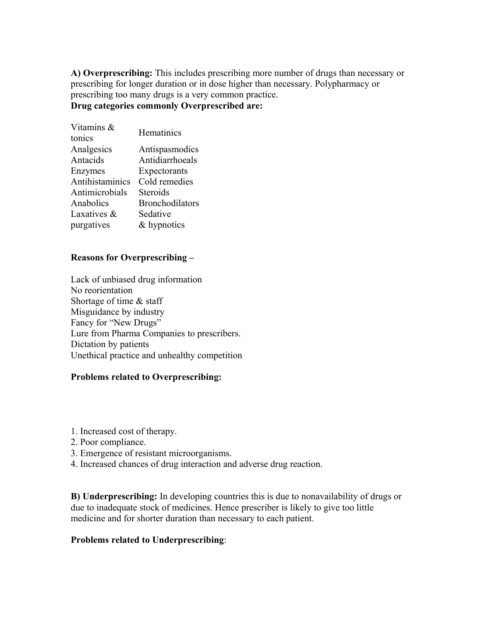**A) Overprescribing:** This includes prescribing more number of drugs than necessary or prescribing for longer duration or in dose higher than necessary. Polypharmacy or prescribing too many drugs is a very common practice. **Drug categories commonly Overprescribed are:**

| Hematinics             |
|------------------------|
|                        |
| Antispasmodics         |
| Antidiarrhoeals        |
| Expectorants           |
| Cold remedies          |
| Steroids               |
| <b>Bronchodilators</b> |
| Sedative               |
| & hypnotics            |
|                        |

#### **Reasons for Overprescribing –**

Lack of unbiased drug information No reorientation Shortage of time & staff Misguidance by industry Fancy for "New Drugs" Lure from Pharma Companies to prescribers. Dictation by patients Unethical practice and unhealthy competition

#### **Problems related to Overprescribing:**

- 1. Increased cost of therapy.
- 2. Poor compliance.
- 3. Emergence of resistant microorganisms.
- 4. Increased chances of drug interaction and adverse drug reaction.

**B) Underprescribing:** In developing countries this is due to nonavailability of drugs or due to inadequate stock of medicines. Hence prescriber is likely to give too little medicine and for shorter duration than necessary to each patient.

## **Problems related to Underprescribing**: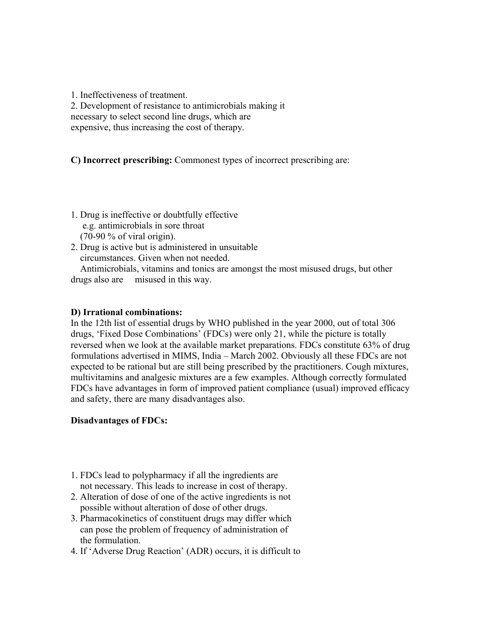1. Ineffectiveness of treatment. 2. Development of resistance to antimicrobials making it necessary to select second line drugs, which are expensive, thus increasing the cost of therapy.

**C) Incorrect prescribing:** Commonest types of incorrect prescribing are:

- 1. Drug is ineffective or doubtfully effective e.g. antimicrobials in sore throat (70-90 % of viral origin).
- 2. Drug is active but is administered in unsuitable circumstances. Given when not needed.

 Antimicrobials, vitamins and tonics are amongst the most misused drugs, but other drugs also are misused in this way.

### **D) Irrational combinations:**

In the 12th list of essential drugs by WHO published in the year 2000, out of total 306 drugs, 'Fixed Dose Combinations' (FDCs) were only 21, while the picture is totally reversed when we look at the available market preparations. FDCs constitute 63% of drug formulations advertised in MIMS, India – March 2002. Obviously all these FDCs are not expected to be rational but are still being prescribed by the practitioners. Cough mixtures, multivitamins and analgesic mixtures are a few examples. Although correctly formulated FDCs have advantages in form of improved patient compliance (usual) improved efficacy and safety, there are many disadvantages also.

# **Disadvantages of FDCs:**

- 1. FDCs lead to polypharmacy if all the ingredients are not necessary. This leads to increase in cost of therapy.
- 2. Alteration of dose of one of the active ingredients is not possible without alteration of dose of other drugs.
- 3. Pharmacokinetics of constituent drugs may differ which can pose the problem of frequency of administration of the formulation.
- 4. If 'Adverse Drug Reaction' (ADR) occurs, it is difficult to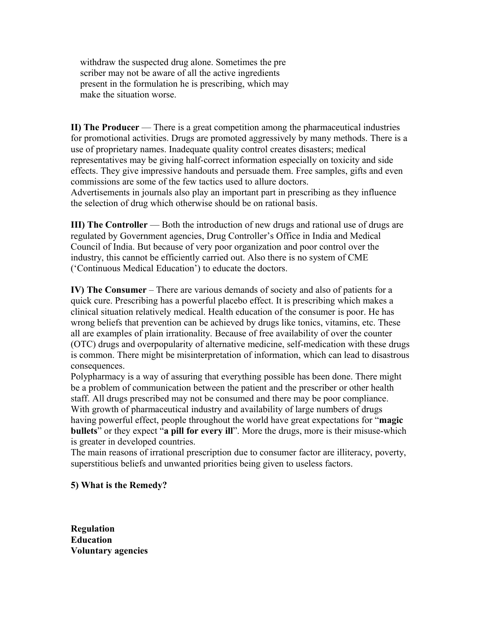withdraw the suspected drug alone. Sometimes the pre scriber may not be aware of all the active ingredients present in the formulation he is prescribing, which may make the situation worse.

**II) The Producer** — There is a great competition among the pharmaceutical industries for promotional activities. Drugs are promoted aggressively by many methods. There is a use of proprietary names. Inadequate quality control creates disasters; medical representatives may be giving half-correct information especially on toxicity and side effects. They give impressive handouts and persuade them. Free samples, gifts and even commissions are some of the few tactics used to allure doctors. Advertisements in journals also play an important part in prescribing as they influence the selection of drug which otherwise should be on rational basis.

**III) The Controller** — Both the introduction of new drugs and rational use of drugs are regulated by Government agencies, Drug Controller's Office in India and Medical Council of India. But because of very poor organization and poor control over the industry, this cannot be efficiently carried out. Also there is no system of CME ('Continuous Medical Education') to educate the doctors.

**IV) The Consumer** – There are various demands of society and also of patients for a quick cure. Prescribing has a powerful placebo effect. It is prescribing which makes a clinical situation relatively medical. Health education of the consumer is poor. He has wrong beliefs that prevention can be achieved by drugs like tonics, vitamins, etc. These all are examples of plain irrationality. Because of free availability of over the counter (OTC) drugs and overpopularity of alternative medicine, self-medication with these drugs is common. There might be misinterpretation of information, which can lead to disastrous consequences.

Polypharmacy is a way of assuring that everything possible has been done. There might be a problem of communication between the patient and the prescriber or other health staff. All drugs prescribed may not be consumed and there may be poor compliance. With growth of pharmaceutical industry and availability of large numbers of drugs having powerful effect, people throughout the world have great expectations for "**magic bullets**" or they expect "**a pill for every ill**". More the drugs, more is their misuse-which is greater in developed countries.

The main reasons of irrational prescription due to consumer factor are illiteracy, poverty, superstitious beliefs and unwanted priorities being given to useless factors.

### **5) What is the Remedy?**

**Regulation Education Voluntary agencies**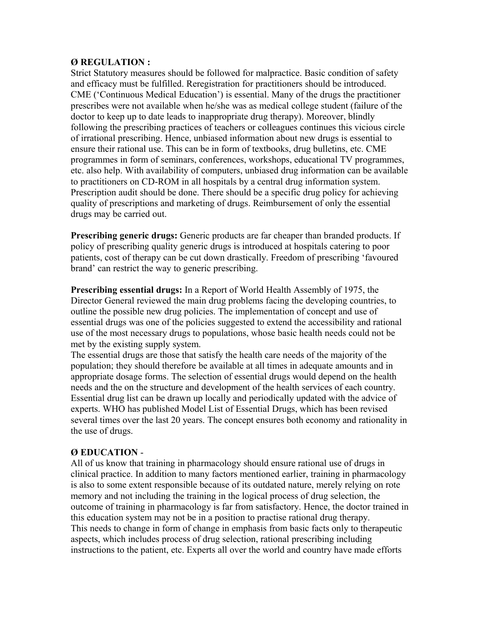### **Ø REGULATION :**

Strict Statutory measures should be followed for malpractice. Basic condition of safety and efficacy must be fulfilled. Reregistration for practitioners should be introduced. CME ('Continuous Medical Education') is essential. Many of the drugs the practitioner prescribes were not available when he/she was as medical college student (failure of the doctor to keep up to date leads to inappropriate drug therapy). Moreover, blindly following the prescribing practices of teachers or colleagues continues this vicious circle of irrational prescribing. Hence, unbiased information about new drugs is essential to ensure their rational use. This can be in form of textbooks, drug bulletins, etc. CME programmes in form of seminars, conferences, workshops, educational TV programmes, etc. also help. With availability of computers, unbiased drug information can be available to practitioners on CD-ROM in all hospitals by a central drug information system. Prescription audit should be done. There should be a specific drug policy for achieving quality of prescriptions and marketing of drugs. Reimbursement of only the essential drugs may be carried out.

**Prescribing generic drugs:** Generic products are far cheaper than branded products. If policy of prescribing quality generic drugs is introduced at hospitals catering to poor patients, cost of therapy can be cut down drastically. Freedom of prescribing 'favoured brand' can restrict the way to generic prescribing.

**Prescribing essential drugs:** In a Report of World Health Assembly of 1975, the Director General reviewed the main drug problems facing the developing countries, to outline the possible new drug policies. The implementation of concept and use of essential drugs was one of the policies suggested to extend the accessibility and rational use of the most necessary drugs to populations, whose basic health needs could not be met by the existing supply system.

The essential drugs are those that satisfy the health care needs of the majority of the population; they should therefore be available at all times in adequate amounts and in appropriate dosage forms. The selection of essential drugs would depend on the health needs and the on the structure and development of the health services of each country. Essential drug list can be drawn up locally and periodically updated with the advice of experts. WHO has published Model List of Essential Drugs, which has been revised several times over the last 20 years. The concept ensures both economy and rationality in the use of drugs.

# **Ø EDUCATION** -

All of us know that training in pharmacology should ensure rational use of drugs in clinical practice. In addition to many factors mentioned earlier, training in pharmacology is also to some extent responsible because of its outdated nature, merely relying on rote memory and not including the training in the logical process of drug selection, the outcome of training in pharmacology is far from satisfactory. Hence, the doctor trained in this education system may not be in a position to practise rational drug therapy. This needs to change in form of change in emphasis from basic facts only to therapeutic aspects, which includes process of drug selection, rational prescribing including instructions to the patient, etc. Experts all over the world and country have made efforts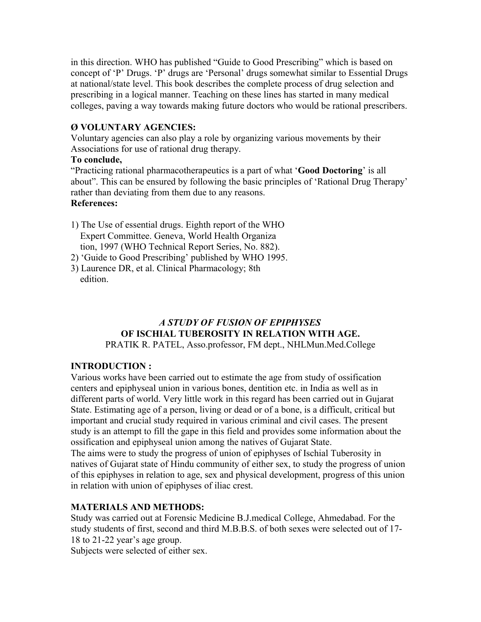in this direction. WHO has published "Guide to Good Prescribing" which is based on concept of 'P' Drugs. 'P' drugs are 'Personal' drugs somewhat similar to Essential Drugs at national/state level. This book describes the complete process of drug selection and prescribing in a logical manner. Teaching on these lines has started in many medical colleges, paving a way towards making future doctors who would be rational prescribers.

## **Ø VOLUNTARY AGENCIES:**

Voluntary agencies can also play a role by organizing various movements by their Associations for use of rational drug therapy.

### **To conclude,**

"Practicing rational pharmacotherapeutics is a part of what '**Good Doctoring**' is all about". This can be ensured by following the basic principles of 'Rational Drug Therapy' rather than deviating from them due to any reasons. **References:**

- 1) The Use of essential drugs. Eighth report of the WHO Expert Committee. Geneva, World Health Organiza tion, 1997 (WHO Technical Report Series, No. 882).
- 2) 'Guide to Good Prescribing' published by WHO 1995.
- 3) Laurence DR, et al. Clinical Pharmacology; 8th edition.

# *A STUDY OF FUSION OF EPIPHYSES* **OF ISCHIAL TUBEROSITY IN RELATION WITH AGE.**

PRATIK R. PATEL, Asso.professor, FM dept., NHLMun.Med.College

# **INTRODUCTION :**

Various works have been carried out to estimate the age from study of ossification centers and epiphyseal union in various bones, dentition etc. in India as well as in different parts of world. Very little work in this regard has been carried out in Gujarat State. Estimating age of a person, living or dead or of a bone, is a difficult, critical but important and crucial study required in various criminal and civil cases. The present study is an attempt to fill the gape in this field and provides some information about the ossification and epiphyseal union among the natives of Gujarat State.

The aims were to study the progress of union of epiphyses of Ischial Tuberosity in natives of Gujarat state of Hindu community of either sex, to study the progress of union of this epiphyses in relation to age, sex and physical development, progress of this union in relation with union of epiphyses of iliac crest.

# **MATERIALS AND METHODS:**

Study was carried out at Forensic Medicine B.J.medical College, Ahmedabad. For the study students of first, second and third M.B.B.S. of both sexes were selected out of 17- 18 to 21-22 year's age group.

Subjects were selected of either sex.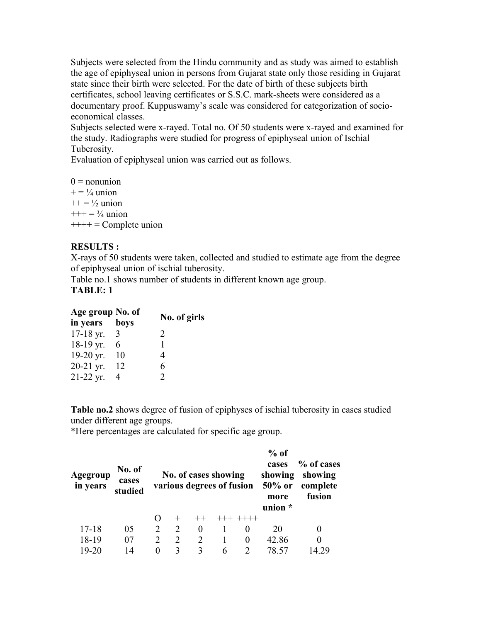Subjects were selected from the Hindu community and as study was aimed to establish the age of epiphyseal union in persons from Gujarat state only those residing in Gujarat state since their birth were selected. For the date of birth of these subjects birth certificates, school leaving certificates or S.S.C. mark-sheets were considered as a documentary proof. Kuppuswamy's scale was considered for categorization of socioeconomical classes.

Subjects selected were x-rayed. Total no. Of 50 students were x-rayed and examined for the study. Radiographs were studied for progress of epiphyseal union of Ischial Tuberosity.

Evaluation of epiphyseal union was carried out as follows.

 $0 =$  nonunion  $+= \frac{1}{4}$  union  $++ = \frac{1}{2}$  union  $+++ = \frac{3}{4}$  union  $++++ = Complete union$ 

# **RESULTS :**

X-rays of 50 students were taken, collected and studied to estimate age from the degree of epiphyseal union of ischial tuberosity.

Table no.1 shows number of students in different known age group. **TABLE: 1**

| Age group No. of |      |                             |
|------------------|------|-----------------------------|
| in years         | boys | No. of girls                |
| $17-18$ yr.      | 3    | $\mathcal{D}_{\mathcal{L}}$ |
| 18-19 yr.        | 6    |                             |
| 19-20 yr.        | 10   | 4                           |
| 20-21 yr.        | 12   | 6                           |
| $21-22$ yr.      | 4    |                             |

**Table no.2** shows degree of fusion of epiphyses of ischial tuberosity in cases studied under different age groups.

\*Here percentages are calculated for specific age group.

| Agegroup<br>in years | No. of<br>cases<br>studied |                |                             | No. of cases showing<br>various degrees of fusion |   |          | $%$ of<br>cases<br>showing<br>$50\%$ or<br>more<br>union * | % of cases<br>showing<br>complete<br>fusion |
|----------------------|----------------------------|----------------|-----------------------------|---------------------------------------------------|---|----------|------------------------------------------------------------|---------------------------------------------|
|                      |                            |                |                             |                                                   |   |          |                                                            |                                             |
| $17 - 18$            | 05                         | $\overline{2}$ | 2                           | $\theta$                                          |   | $\theta$ | 20                                                         | 0                                           |
| 18-19                | 07                         | $\mathfrak{D}$ | $\mathcal{D}_{\mathcal{L}}$ | $\mathcal{D}_{\mathcal{L}}$                       |   | $\theta$ | 42.86                                                      | 0                                           |
| 19-20                | 14                         | 0              |                             | 3                                                 | 6 |          |                                                            |                                             |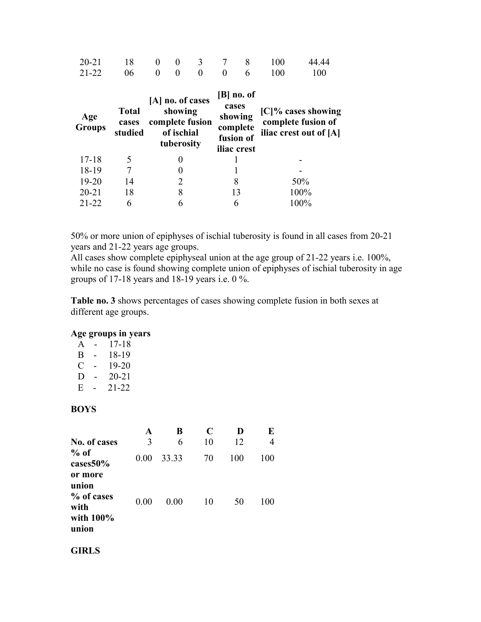| $20 - 21$<br>$21 - 22$ | 18<br>06                         | 0<br>$\theta$ | 0<br>$\theta$                       | 3<br>0                              | 0     | 8<br>6                                                          | 100<br>100 | 44.44<br>100                                                          |
|------------------------|----------------------------------|---------------|-------------------------------------|-------------------------------------|-------|-----------------------------------------------------------------|------------|-----------------------------------------------------------------------|
| Age<br><b>Groups</b>   | <b>Total</b><br>cases<br>studied |               | showing<br>of ischial<br>tuberosity | [A] no. of cases<br>complete fusion | cases | $[B]$ no. of<br>showing<br>complete<br>fusion of<br>iliac crest |            | $[C]\%$ cases showing<br>complete fusion of<br>iliac crest out of [A] |
| $17 - 18$              | 5                                |               |                                     |                                     |       |                                                                 |            |                                                                       |
| 18-19                  |                                  |               |                                     |                                     |       |                                                                 |            |                                                                       |
| $19 - 20$              | 14                               |               | 2                                   |                                     |       | 8                                                               |            | 50%                                                                   |
| $20 - 21$              | 18                               |               | 8                                   |                                     |       | 13                                                              |            | 100%                                                                  |
| $21 - 22$              | 6                                |               | 6                                   |                                     |       | 6                                                               |            | 100%                                                                  |

50% or more union of epiphyses of ischial tuberosity is found in all cases from 20-21 years and 21-22 years age groups.

All cases show complete epiphyseal union at the age group of 21-22 years i.e. 100%, while no case is found showing complete union of epiphyses of ischial tuberosity in age groups of 17-18 years and 18-19 years i.e. 0 %.

**Table no. 3** shows percentages of cases showing complete fusion in both sexes at different age groups.

#### **Age groups in years**

| A | - | 17-18     |
|---|---|-----------|
| R | - | 18-19     |
| € | - | 19-20     |
| Ð | - | $20 - 21$ |

 $E - 21-22$ 

#### **BOYS**

|                                                                 | A    | В     | C  | D   | E   |
|-----------------------------------------------------------------|------|-------|----|-----|-----|
| No. of cases                                                    | 3    | 6     | 10 | 12  | 4   |
| $%$ of<br>cases50%                                              | 0.00 | 33.33 | 70 | 100 | 100 |
| or more<br>union<br>% of cases<br>with<br>with $100\%$<br>union | 0.00 | 0.00  | 10 | 50  | 100 |

### **GIRLS**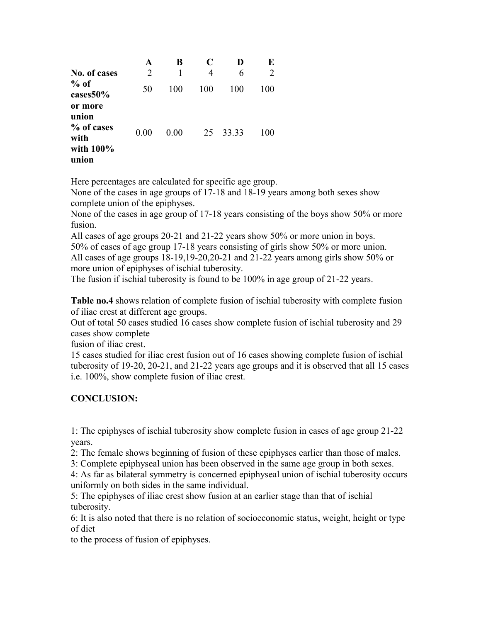|                                                              | A              | B    | C   |       | E   |
|--------------------------------------------------------------|----------------|------|-----|-------|-----|
| No. of cases                                                 | $\overline{2}$ |      | 4   | 6     | 2   |
| $%$ of<br>cases 50%                                          | 50             | 100  | 100 | 100   | 100 |
| or more<br>union<br>% of cases<br>with<br>with 100%<br>union | 0.00           | 0.00 | 25  | 33.33 | 100 |

Here percentages are calculated for specific age group.

None of the cases in age groups of 17-18 and 18-19 years among both sexes show complete union of the epiphyses.

None of the cases in age group of 17-18 years consisting of the boys show 50% or more fusion.

All cases of age groups 20-21 and 21-22 years show 50% or more union in boys. 50% of cases of age group 17-18 years consisting of girls show 50% or more union. All cases of age groups 18-19,19-20,20-21 and 21-22 years among girls show 50% or more union of epiphyses of ischial tuberosity.

The fusion if ischial tuberosity is found to be 100% in age group of 21-22 years.

**Table no.4** shows relation of complete fusion of ischial tuberosity with complete fusion of iliac crest at different age groups.

Out of total 50 cases studied 16 cases show complete fusion of ischial tuberosity and 29 cases show complete

fusion of iliac crest.

15 cases studied for iliac crest fusion out of 16 cases showing complete fusion of ischial tuberosity of 19-20, 20-21, and 21-22 years age groups and it is observed that all 15 cases i.e. 100%, show complete fusion of iliac crest.

# **CONCLUSION:**

1: The epiphyses of ischial tuberosity show complete fusion in cases of age group 21-22 years.

2: The female shows beginning of fusion of these epiphyses earlier than those of males.

3: Complete epiphyseal union has been observed in the same age group in both sexes.

4: As far as bilateral symmetry is concerned epiphyseal union of ischial tuberosity occurs uniformly on both sides in the same individual.

5: The epiphyses of iliac crest show fusion at an earlier stage than that of ischial tuberosity.

6: It is also noted that there is no relation of socioeconomic status, weight, height or type of diet

to the process of fusion of epiphyses.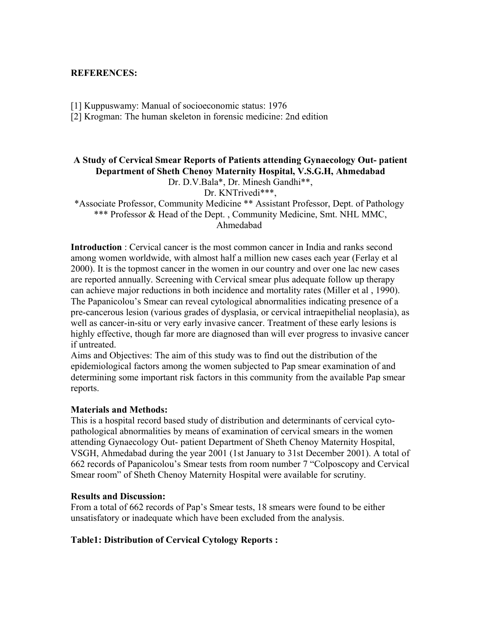#### **REFERENCES:**

[1] Kuppuswamy: Manual of socioeconomic status: 1976

[2] Krogman: The human skeleton in forensic medicine: 2nd edition

# **A Study of Cervical Smear Reports of Patients attending Gynaecology Out- patient Department of Sheth Chenoy Maternity Hospital, V.S.G.H, Ahmedabad**

Dr. D.V.Bala\*, Dr. Minesh Gandhi\*\*,

Dr. KNTrivedi\*\*\*,

\*Associate Professor, Community Medicine \*\* Assistant Professor, Dept. of Pathology \*\*\* Professor & Head of the Dept. , Community Medicine, Smt. NHL MMC, Ahmedabad

**Introduction** : Cervical cancer is the most common cancer in India and ranks second among women worldwide, with almost half a million new cases each year (Ferlay et al 2000). It is the topmost cancer in the women in our country and over one lac new cases are reported annually. Screening with Cervical smear plus adequate follow up therapy can achieve major reductions in both incidence and mortality rates (Miller et al , 1990). The Papanicolou's Smear can reveal cytological abnormalities indicating presence of a pre-cancerous lesion (various grades of dysplasia, or cervical intraepithelial neoplasia), as well as cancer-in-situ or very early invasive cancer. Treatment of these early lesions is highly effective, though far more are diagnosed than will ever progress to invasive cancer if untreated.

Aims and Objectives: The aim of this study was to find out the distribution of the epidemiological factors among the women subjected to Pap smear examination of and determining some important risk factors in this community from the available Pap smear reports.

### **Materials and Methods:**

This is a hospital record based study of distribution and determinants of cervical cytopathological abnormalities by means of examination of cervical smears in the women attending Gynaecology Out- patient Department of Sheth Chenoy Maternity Hospital, VSGH, Ahmedabad during the year 2001 (1st January to 31st December 2001). A total of 662 records of Papanicolou's Smear tests from room number 7 "Colposcopy and Cervical Smear room" of Sheth Chenoy Maternity Hospital were available for scrutiny.

#### **Results and Discussion:**

From a total of 662 records of Pap's Smear tests, 18 smears were found to be either unsatisfatory or inadequate which have been excluded from the analysis.

## **Table1: Distribution of Cervical Cytology Reports :**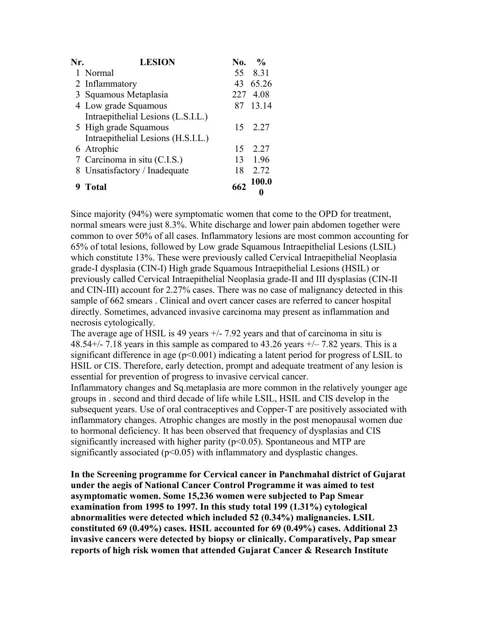| Nr. | <b>LESION</b>                      | No. | $\frac{1}{2}$ |
|-----|------------------------------------|-----|---------------|
|     | 1 Normal                           | 55  | 8.31          |
|     | 2 Inflammatory                     | 43  | 65.26         |
|     | 3 Squamous Metaplasia              | 227 | 4.08          |
|     | 4 Low grade Squamous               | 87  | 13.14         |
|     | Intraepithelial Lesions (L.S.I.L.) |     |               |
|     | 5 High grade Squamous              | 15  | 2 2 7         |
|     | Intraepithelial Lesions (H.S.I.L.) |     |               |
|     | 6 Atrophic                         | 15  | 2.27          |
|     | 7 Carcinoma in situ (C.I.S.)       | 13  | 1.96          |
|     | 8 Unsatisfactory / Inadequate      | 18  | 2.72          |
|     |                                    |     | <b>100.0</b>  |
|     | Total                              | 662 |               |

Since majority (94%) were symptomatic women that come to the OPD for treatment, normal smears were just 8.3%. White discharge and lower pain abdomen together were common to over 50% of all cases. Inflammatory lesions are most common accounting for 65% of total lesions, followed by Low grade Squamous Intraepithelial Lesions (LSIL) which constitute 13%. These were previously called Cervical Intraepithelial Neoplasia grade-I dysplasia (CIN-I) High grade Squamous Intraepithelial Lesions (HSIL) or previously called Cervical Intraepithelial Neoplasia grade-II and III dysplasias (CIN-II and CIN-III) account for 2.27% cases. There was no case of malignancy detected in this sample of 662 smears . Clinical and overt cancer cases are referred to cancer hospital directly. Sometimes, advanced invasive carcinoma may present as inflammation and necrosis cytologically.

The average age of HSIL is 49 years  $+/$ - 7.92 years and that of carcinoma in situ is 48.54+/- 7.18 years in this sample as compared to 43.26 years  $+/- 7.82$  years. This is a significant difference in age  $(p<0.001)$  indicating a latent period for progress of LSIL to HSIL or CIS. Therefore, early detection, prompt and adequate treatment of any lesion is essential for prevention of progress to invasive cervical cancer.

Inflammatory changes and Sq.metaplasia are more common in the relatively younger age groups in . second and third decade of life while LSIL, HSIL and CIS develop in the subsequent years. Use of oral contraceptives and Copper-T are positively associated with inflammatory changes. Atrophic changes are mostly in the post menopausal women due to hormonal deficiency. It has been observed that frequency of dysplasias and CIS significantly increased with higher parity  $(p<0.05)$ . Spontaneous and MTP are significantly associated ( $p<0.05$ ) with inflammatory and dysplastic changes.

**In the Screening programme for Cervical cancer in Panchmahal district of Gujarat under the aegis of National Cancer Control Programme it was aimed to test asymptomatic women. Some 15,236 women were subjected to Pap Smear examination from 1995 to 1997. In this study total 199 (1.31%) cytological abnormalities were detected which included 52 (0.34%) malignancies. LSIL constituted 69 (0.49%) cases. HSIL accounted for 69 (0.49%) cases. Additional 23 invasive cancers were detected by biopsy or clinically. Comparatively, Pap smear reports of high risk women that attended Gujarat Cancer & Research Institute**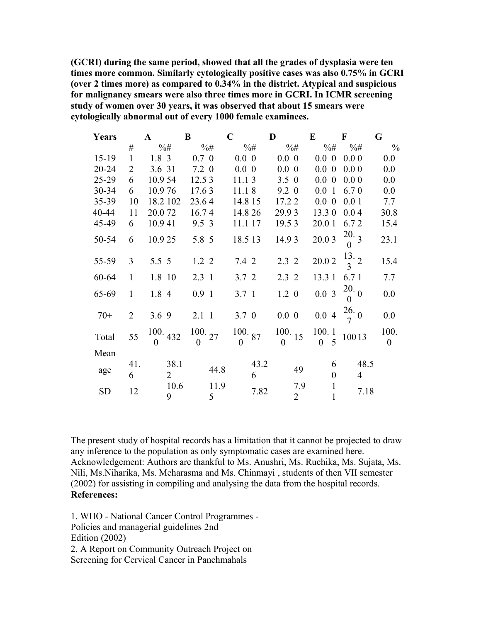**(GCRI) during the same period, showed that all the grades of dysplasia were ten times more common. Similarly cytologically positive cases was also 0.75% in GCRI (over 2 times more) as compared to 0.34% in the district. Atypical and suspicious for malignancy smears were also three times more in GCRI. In ICMR screening study of women over 30 years, it was observed that about 15 smears were cytologically abnormal out of every 1000 female examinees.**

| Years     |                | $\mathbf{A}$        | B                        | $\mathbf C$                 | D                        | E                            | $\mathbf F$                | G                      |
|-----------|----------------|---------------------|--------------------------|-----------------------------|--------------------------|------------------------------|----------------------------|------------------------|
|           | $\#$           | $\% \#$             | $\%$ #                   | $\%$ #                      | $\%$ #                   | $\% \#$                      | $%$ #                      | $\frac{0}{0}$          |
| $15-19$   | $\mathbf{1}$   | 1.8 <sup>3</sup>    | $0.7 \, 0$               | $0.0\,0$                    | $0.0\,0$                 | $0.0\,0$                     | $0.0\,0$                   | 0.0                    |
| $20 - 24$ | $\overline{2}$ | 3.6 31              | 7.2 0                    | $0.0\ 0$                    | $0.0\ 0$                 | $0.0\ 0$                     | 0.00                       | 0.0                    |
| $25-29$   | 6              | 10.954              | 12.5 3                   | 11.13                       | $3.5 \; 0$               | $0.0\ 0$                     | 0.00                       | 0.0                    |
| $30 - 34$ | 6              | 10.976              | 17.63                    | 11.18                       | $9.2 \; 0$               | 0.01                         | 6.70                       | 0.0                    |
| $35 - 39$ | 10             | 18.2 102            | 23.64                    | 14.8 15                     | 17.2 2                   | $0.0\ 0$                     | 0.01                       | 7.7                    |
| 40-44     | 11             | 20.072              | 16.74                    | 14.8 26                     | 29.93                    | 13.30                        | 0.04                       | 30.8                   |
| 45-49     | 6              | 10.941              | 9.5 3                    | 11.1 17                     | 19.53                    | 20.0 1                       | 6.72                       | 15.4                   |
| 50-54     | 6              | 10.925              | 5.8 5                    | 18.5 13                     | 14.93                    | 20.03                        | 20.3<br>$\boldsymbol{0}$   | 23.1                   |
| 55-59     | $\overline{3}$ | $5.5\ 5$            | $1.2 \, 2$               | 7.4 2                       | 2.32                     | 20.02                        | $\frac{13}{3}$ 2           | 15.4                   |
| 60-64     | $\mathbf{1}$   | 1.8 10              | $2.3 \t1$                | 3.7 <sub>2</sub>            | 2.32                     | 13.3 1                       | 6.71                       | 7.7                    |
| 65-69     | $\mathbf{1}$   | 1.8 4               | 0.91                     | 3.71                        | $1.2 \ 0$                | 0.03                         | $^{20}\,$ $_0$<br>$\theta$ | 0.0                    |
| $70+$     | $\overline{2}$ | 3.69                | 2.11                     | $3.7 \, 0$                  | $0.0\,0$                 | 0.04                         | $\frac{26}{7}$ 0           | 0.0                    |
| Total     | 55             | 100.432<br>$\Omega$ | 100.27<br>$\overline{0}$ | $100.$ 87<br>$\overline{0}$ | 100.15<br>$\overline{0}$ | 100.1<br>5<br>$\Omega$       | 10013                      | 100.<br>$\overline{0}$ |
| Mean      |                |                     |                          |                             |                          |                              |                            |                        |
|           | 41.            | 38.1                | 44.8                     | 43.2                        | 49                       | 6                            | 48.5                       |                        |
| age       | 6              | $\overline{2}$      |                          | 6                           |                          | $\boldsymbol{0}$             | $\overline{4}$             |                        |
| <b>SD</b> | 12             | 10.6<br>9           | 11.9<br>5                | 7.82                        | 7.9<br>$\overline{2}$    | $\mathbf{1}$<br>$\mathbf{1}$ | 7.18                       |                        |

The present study of hospital records has a limitation that it cannot be projected to draw any inference to the population as only symptomatic cases are examined here. Acknowledgement: Authors are thankful to Ms. Anushri, Ms. Ruchika, Ms. Sujata, Ms. Nili, Ms.Niharika, Ms. Meharasma and Ms. Chinmayi , students of then VII semester (2002) for assisting in compiling and analysing the data from the hospital records. **References:** 

1. WHO - National Cancer Control Programmes - Policies and managerial guidelines 2nd Edition (2002) 2. A Report on Community Outreach Project on Screening for Cervical Cancer in Panchmahals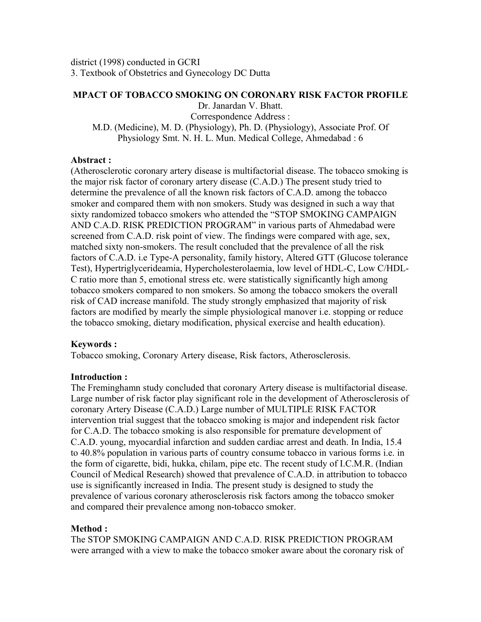### **MPACT OF TOBACCO SMOKING ON CORONARY RISK FACTOR PROFILE**

Dr. Janardan V. Bhatt. Correspondence Address :

M.D. (Medicine), M. D. (Physiology), Ph. D. (Physiology), Associate Prof. Of Physiology Smt. N. H. L. Mun. Medical College, Ahmedabad : 6

## **Abstract :**

(Atherosclerotic coronary artery disease is multifactorial disease. The tobacco smoking is the major risk factor of coronary artery disease (C.A.D.) The present study tried to determine the prevalence of all the known risk factors of C.A.D. among the tobacco smoker and compared them with non smokers. Study was designed in such a way that sixty randomized tobacco smokers who attended the "STOP SMOKING CAMPAIGN AND C.A.D. RISK PREDICTION PROGRAM" in various parts of Ahmedabad were screened from C.A.D. risk point of view. The findings were compared with age, sex, matched sixty non-smokers. The result concluded that the prevalence of all the risk factors of C.A.D. i.e Type-A personality, family history, Altered GTT (Glucose tolerance Test), Hypertriglycerideamia, Hypercholesterolaemia, low level of HDL-C, Low C/HDL-C ratio more than 5, emotional stress etc. were statistically significantly high among tobacco smokers compared to non smokers. So among the tobacco smokers the overall risk of CAD increase manifold. The study strongly emphasized that majority of risk factors are modified by mearly the simple physiological manover i.e. stopping or reduce the tobacco smoking, dietary modification, physical exercise and health education).

# **Keywords :**

Tobacco smoking, Coronary Artery disease, Risk factors, Atherosclerosis.

# **Introduction :**

The Freminghamn study concluded that coronary Artery disease is multifactorial disease. Large number of risk factor play significant role in the development of Atherosclerosis of coronary Artery Disease (C.A.D.) Large number of MULTIPLE RISK FACTOR intervention trial suggest that the tobacco smoking is major and independent risk factor for C.A.D. The tobacco smoking is also responsible for premature development of C.A.D. young, myocardial infarction and sudden cardiac arrest and death. In India, 15.4 to 40.8% population in various parts of country consume tobacco in various forms i.e. in the form of cigarette, bidi, hukka, chilam, pipe etc. The recent study of I.C.M.R. (Indian Council of Medical Research) showed that prevalence of C.A.D. in attribution to tobacco use is significantly increased in India. The present study is designed to study the prevalence of various coronary atherosclerosis risk factors among the tobacco smoker and compared their prevalence among non-tobacco smoker.

# **Method :**

The STOP SMOKING CAMPAIGN AND C.A.D. RISK PREDICTION PROGRAM were arranged with a view to make the tobacco smoker aware about the coronary risk of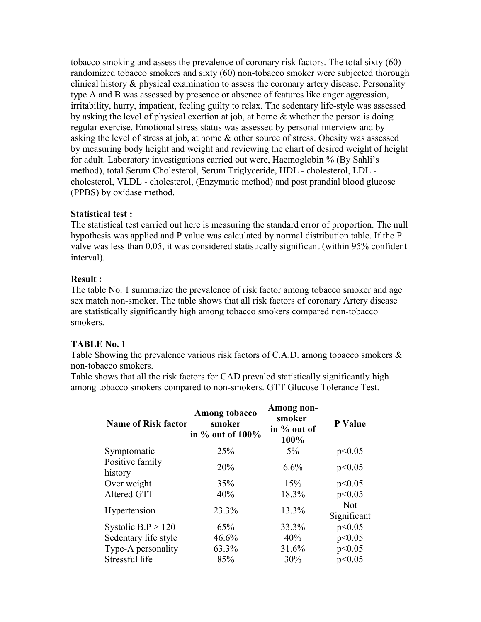tobacco smoking and assess the prevalence of coronary risk factors. The total sixty (60) randomized tobacco smokers and sixty (60) non-tobacco smoker were subjected thorough clinical history & physical examination to assess the coronary artery disease. Personality type A and B was assessed by presence or absence of features like anger aggression, irritability, hurry, impatient, feeling guilty to relax. The sedentary life-style was assessed by asking the level of physical exertion at job, at home & whether the person is doing regular exercise. Emotional stress status was assessed by personal interview and by asking the level of stress at job, at home & other source of stress. Obesity was assessed by measuring body height and weight and reviewing the chart of desired weight of height for adult. Laboratory investigations carried out were, Haemoglobin % (By Sahli's method), total Serum Cholesterol, Serum Triglyceride, HDL - cholesterol, LDL cholesterol, VLDL - cholesterol, (Enzymatic method) and post prandial blood glucose (PPBS) by oxidase method.

## **Statistical test :**

The statistical test carried out here is measuring the standard error of proportion. The null hypothesis was applied and P value was calculated by normal distribution table. If the P valve was less than 0.05, it was considered statistically significant (within 95% confident interval).

# **Result :**

The table No. 1 summarize the prevalence of risk factor among tobacco smoker and age sex match non-smoker. The table shows that all risk factors of coronary Artery disease are statistically significantly high among tobacco smokers compared non-tobacco smokers.

# **TABLE No. 1**

Table Showing the prevalence various risk factors of C.A.D. among tobacco smokers & non-tobacco smokers.

Table shows that all the risk factors for CAD prevaled statistically significantly high among tobacco smokers compared to non-smokers. GTT Glucose Tolerance Test.

| <b>Name of Risk factor</b> | Among tobacco<br>smoker<br>in $\%$ out of 100% | Among non-<br>smoker<br>in % out of<br>100% | P Value                   |
|----------------------------|------------------------------------------------|---------------------------------------------|---------------------------|
| Symptomatic                | 25%                                            | $5\%$                                       | p<0.05                    |
| Positive family<br>history | 20%                                            | 6.6%                                        | p<0.05                    |
| Over weight                | 35%                                            | 15%                                         | p<0.05                    |
| Altered GTT                | 40%                                            | 18.3%                                       | p<0.05                    |
| Hypertension               | 23.3%                                          | 13.3%                                       | <b>Not</b><br>Significant |
| Systolic $B.P > 120$       | 65%                                            | 33.3%                                       | p<0.05                    |
| Sedentary life style       | 46.6%                                          | 40%                                         | p<0.05                    |
| Type-A personality         | 63.3%                                          | 31.6%                                       | p<0.05                    |
| Stressful life             | 85%                                            | 30%                                         | p<0.05                    |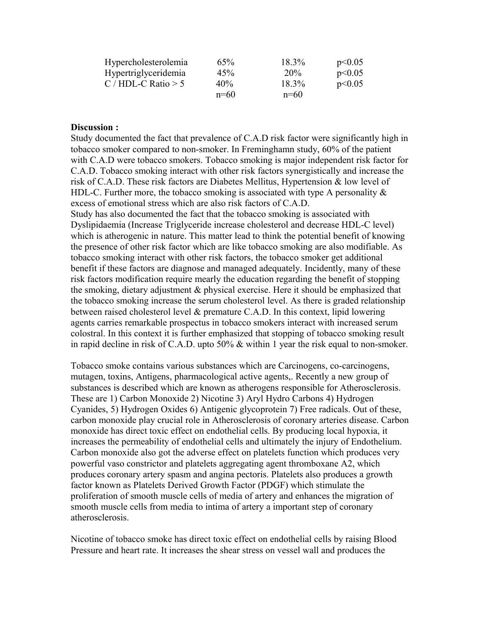| Hypercholesterolemia  | 65%    | 18.3%  | p<0.05 |
|-----------------------|--------|--------|--------|
| Hypertriglyceridemia  | 45%    | 20%    | p<0.05 |
| C / HDL-C Ratio $> 5$ | 40%    | 18.3%  | p<0.05 |
|                       | $n=60$ | $n=60$ |        |

#### **Discussion :**

Study documented the fact that prevalence of C.A.D risk factor were significantly high in tobacco smoker compared to non-smoker. In Freminghamn study, 60% of the patient with C.A.D were tobacco smokers. Tobacco smoking is major independent risk factor for C.A.D. Tobacco smoking interact with other risk factors synergistically and increase the risk of C.A.D. These risk factors are Diabetes Mellitus, Hypertension & low level of HDL-C. Further more, the tobacco smoking is associated with type A personality  $\&$ excess of emotional stress which are also risk factors of C.A.D. Study has also documented the fact that the tobacco smoking is associated with Dyslipidaemia (Increase Triglyceride increase cholesterol and decrease HDL-C level) which is atherogenic in nature. This matter lead to think the potential benefit of knowing the presence of other risk factor which are like tobacco smoking are also modifiable. As tobacco smoking interact with other risk factors, the tobacco smoker get additional benefit if these factors are diagnose and managed adequately. Incidently, many of these risk factors modification require mearly the education regarding the benefit of stopping

the smoking, dietary adjustment & physical exercise. Here it should be emphasized that the tobacco smoking increase the serum cholesterol level. As there is graded relationship between raised cholesterol level  $\&$  premature C.A.D. In this context, lipid lowering agents carries remarkable prospectus in tobacco smokers interact with increased serum colostral. In this context it is further emphasized that stopping of tobacco smoking result in rapid decline in risk of C.A.D. upto 50% & within 1 year the risk equal to non-smoker.

Tobacco smoke contains various substances which are Carcinogens, co-carcinogens, mutagen, toxins, Antigens, pharmacological active agents,. Recently a new group of substances is described which are known as atherogens responsible for Atherosclerosis. These are 1) Carbon Monoxide 2) Nicotine 3) Aryl Hydro Carbons 4) Hydrogen Cyanides, 5) Hydrogen Oxides 6) Antigenic glycoprotein 7) Free radicals. Out of these, carbon monoxide play crucial role in Atherosclerosis of coronary arteries disease. Carbon monoxide has direct toxic effect on endothelial cells. By producing local hypoxia, it increases the permeability of endothelial cells and ultimately the injury of Endothelium. Carbon monoxide also got the adverse effect on platelets function which produces very powerful vaso constrictor and platelets aggregating agent thromboxane A2, which produces coronary artery spasm and angina pectoris. Platelets also produces a growth factor known as Platelets Derived Growth Factor (PDGF) which stimulate the proliferation of smooth muscle cells of media of artery and enhances the migration of smooth muscle cells from media to intima of artery a important step of coronary atherosclerosis.

Nicotine of tobacco smoke has direct toxic effect on endothelial cells by raising Blood Pressure and heart rate. It increases the shear stress on vessel wall and produces the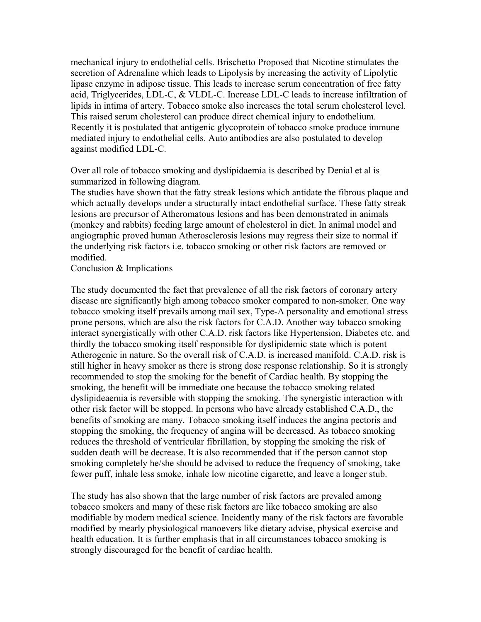mechanical injury to endothelial cells. Brischetto Proposed that Nicotine stimulates the secretion of Adrenaline which leads to Lipolysis by increasing the activity of Lipolytic lipase enzyme in adipose tissue. This leads to increase serum concentration of free fatty acid, Triglycerides, LDL-C, & VLDL-C. Increase LDL-C leads to increase infiltration of lipids in intima of artery. Tobacco smoke also increases the total serum cholesterol level. This raised serum cholesterol can produce direct chemical injury to endothelium. Recently it is postulated that antigenic glycoprotein of tobacco smoke produce immune mediated injury to endothelial cells. Auto antibodies are also postulated to develop against modified LDL-C.

Over all role of tobacco smoking and dyslipidaemia is described by Denial et al is summarized in following diagram.

The studies have shown that the fatty streak lesions which antidate the fibrous plaque and which actually develops under a structurally intact endothelial surface. These fatty streak lesions are precursor of Atheromatous lesions and has been demonstrated in animals (monkey and rabbits) feeding large amount of cholesterol in diet. In animal model and angiographic proved human Atherosclerosis lesions may regress their size to normal if the underlying risk factors i.e. tobacco smoking or other risk factors are removed or modified.

Conclusion & Implications

The study documented the fact that prevalence of all the risk factors of coronary artery disease are significantly high among tobacco smoker compared to non-smoker. One way tobacco smoking itself prevails among mail sex, Type-A personality and emotional stress prone persons, which are also the risk factors for C.A.D. Another way tobacco smoking interact synergistically with other C.A.D. risk factors like Hypertension, Diabetes etc. and thirdly the tobacco smoking itself responsible for dyslipidemic state which is potent Atherogenic in nature. So the overall risk of C.A.D. is increased manifold. C.A.D. risk is still higher in heavy smoker as there is strong dose response relationship. So it is strongly recommended to stop the smoking for the benefit of Cardiac health. By stopping the smoking, the benefit will be immediate one because the tobacco smoking related dyslipideaemia is reversible with stopping the smoking. The synergistic interaction with other risk factor will be stopped. In persons who have already established C.A.D., the benefits of smoking are many. Tobacco smoking itself induces the angina pectoris and stopping the smoking, the frequency of angina will be decreased. As tobacco smoking reduces the threshold of ventricular fibrillation, by stopping the smoking the risk of sudden death will be decrease. It is also recommended that if the person cannot stop smoking completely he/she should be advised to reduce the frequency of smoking, take fewer puff, inhale less smoke, inhale low nicotine cigarette, and leave a longer stub.

The study has also shown that the large number of risk factors are prevaled among tobacco smokers and many of these risk factors are like tobacco smoking are also modifiable by modern medical science. Incidently many of the risk factors are favorable modified by mearly physiological manoevers like dietary advise, physical exercise and health education. It is further emphasis that in all circumstances tobacco smoking is strongly discouraged for the benefit of cardiac health.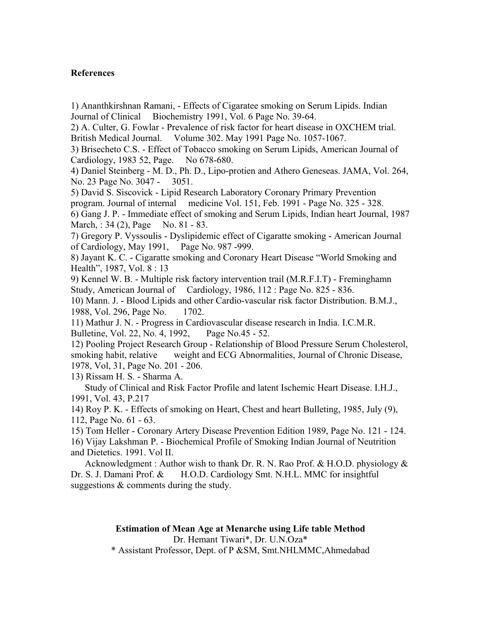## **References**

1) Ananthkirshnan Ramani, - Effects of Cigaratee smoking on Serum Lipids. Indian Journal of Clinical Biochemistry 1991, Vol. 6 Page No. 39-64.

2) A. Culter, G. Fowlar - Prevalence of risk factor for heart disease in OXCHEM trial. British Medical Journal. Volume 302. May 1991 Page No. 1057-1067.

3) Brisecheto C.S. - Effect of Tobacco smoking on Serum Lipids, American Journal of Cardiology, 1983 52, Page. No 678-680.

4) Daniel Steinberg - M. D., Ph. D., Lipo-protien and Athero Geneseas. JAMA, Vol. 264, No. 23 Page No. 3047 - 3051.

5) David S. Siscovick - Lipid Research Laboratory Coronary Primary Prevention program. Journal of internal medicine Vol. 151, Feb. 1991 - Page No. 325 - 328. 6) Gang J. P. - Immediate effect of smoking and Serum Lipids, Indian heart Journal, 1987

March, : 34 (2), Page No. 81 - 83. 7) Gregory P. Vyssoulis - Dyslipidemic effect of Cigaratte smoking - American Journal of Cardiology, May 1991, Page No. 987 -999.

8) Jayant K. C. - Cigaratte smoking and Coronary Heart Disease "World Smoking and Health", 1987, Vol. 8 : 13

9) Kennel W. B. - Multiple risk factory intervention trail (M.R.F.I.T) - Freminghamn Study, American Journal of Cardiology, 1986, 112 : Page No. 825 - 836.

10) Mann. J. - Blood Lipids and other Cardio-vascular risk factor Distribution. B.M.J., 1988, Vol. 296, Page No. 1702.

11) Mathur J. N. - Progress in Cardiovascular disease research in India. I.C.M.R. Bulletine, Vol. 22, No. 4, 1992, Page No.45 - 52.

12) Pooling Project Research Group - Relationship of Blood Pressure Serum Cholesterol, smoking habit, relative weight and ECG Abnormalities, Journal of Chronic Disease, 1978, Vol, 31, Page No. 201 - 206.

13) Rissam H. S. - Sharma A.

Study of Clinical and Risk Factor Profile and latent Ischemic Heart Disease. I.H.J., 1991, Vol. 43, P.217

14) Roy P. K. - Effects of smoking on Heart, Chest and heart Bulleting, 1985, July (9), 112, Page No. 61 - 63.

15) Tom Heller - Coronary Artery Disease Prevention Edition 1989, Page No. 121 - 124.

16) Vijay Lakshman P. - Biochemical Profile of Smoking Indian Journal of Neutrition and Dietetics. 1991. Vol II.

Acknowledgment : Author wish to thank Dr. R. N. Rao Prof. & H.O.D. physiology  $\&$ Dr. S. J. Damani Prof. & H.O.D. Cardiology Smt. N.H.L. MMC for insightful suggestions & comments during the study.

> **Estimation of Mean Age at Menarche using Life table Method** Dr. Hemant Tiwari\*, Dr. U.N.Oza\* \* Assistant Professor, Dept. of P &SM, Smt.NHLMMC,Ahmedabad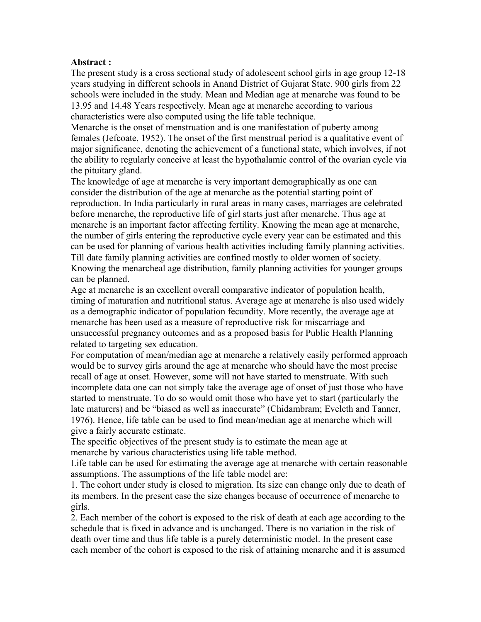#### **Abstract :**

The present study is a cross sectional study of adolescent school girls in age group 12-18 years studying in different schools in Anand District of Gujarat State. 900 girls from 22 schools were included in the study. Mean and Median age at menarche was found to be 13.95 and 14.48 Years respectively. Mean age at menarche according to various characteristics were also computed using the life table technique.

Menarche is the onset of menstruation and is one manifestation of puberty among females (Jefcoate, 1952). The onset of the first menstrual period is a qualitative event of major significance, denoting the achievement of a functional state, which involves, if not the ability to regularly conceive at least the hypothalamic control of the ovarian cycle via the pituitary gland.

The knowledge of age at menarche is very important demographically as one can consider the distribution of the age at menarche as the potential starting point of reproduction. In India particularly in rural areas in many cases, marriages are celebrated before menarche, the reproductive life of girl starts just after menarche. Thus age at menarche is an important factor affecting fertility. Knowing the mean age at menarche, the number of girls entering the reproductive cycle every year can be estimated and this can be used for planning of various health activities including family planning activities. Till date family planning activities are confined mostly to older women of society. Knowing the menarcheal age distribution, family planning activities for younger groups can be planned.

Age at menarche is an excellent overall comparative indicator of population health, timing of maturation and nutritional status. Average age at menarche is also used widely as a demographic indicator of population fecundity. More recently, the average age at menarche has been used as a measure of reproductive risk for miscarriage and unsuccessful pregnancy outcomes and as a proposed basis for Public Health Planning related to targeting sex education.

For computation of mean/median age at menarche a relatively easily performed approach would be to survey girls around the age at menarche who should have the most precise recall of age at onset. However, some will not have started to menstruate. With such incomplete data one can not simply take the average age of onset of just those who have started to menstruate. To do so would omit those who have yet to start (particularly the late maturers) and be "biased as well as inaccurate" (Chidambram; Eveleth and Tanner, 1976). Hence, life table can be used to find mean/median age at menarche which will give a fairly accurate estimate.

The specific objectives of the present study is to estimate the mean age at menarche by various characteristics using life table method.

Life table can be used for estimating the average age at menarche with certain reasonable assumptions. The assumptions of the life table model are:

1. The cohort under study is closed to migration. Its size can change only due to death of its members. In the present case the size changes because of occurrence of menarche to girls.

2. Each member of the cohort is exposed to the risk of death at each age according to the schedule that is fixed in advance and is unchanged. There is no variation in the risk of death over time and thus life table is a purely deterministic model. In the present case each member of the cohort is exposed to the risk of attaining menarche and it is assumed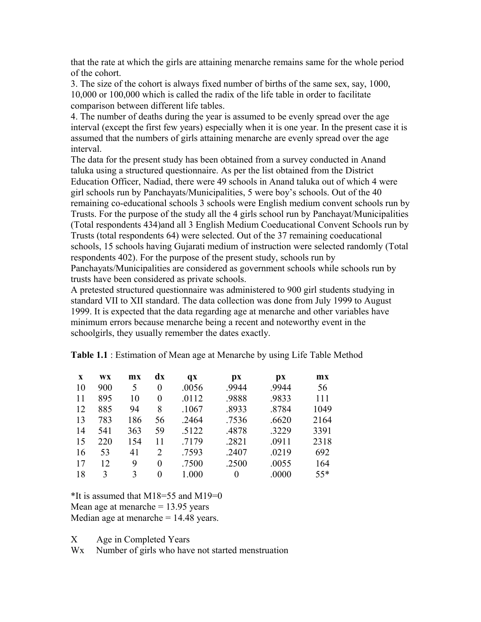that the rate at which the girls are attaining menarche remains same for the whole period of the cohort.

3. The size of the cohort is always fixed number of births of the same sex, say, 1000, 10,000 or 100,000 which is called the radix of the life table in order to facilitate comparison between different life tables.

4. The number of deaths during the year is assumed to be evenly spread over the age interval (except the first few years) especially when it is one year. In the present case it is assumed that the numbers of girls attaining menarche are evenly spread over the age interval.

The data for the present study has been obtained from a survey conducted in Anand taluka using a structured questionnaire. As per the list obtained from the District Education Officer, Nadiad, there were 49 schools in Anand taluka out of which 4 were girl schools run by Panchayats/Municipalities, 5 were boy's schools. Out of the 40 remaining co-educational schools 3 schools were English medium convent schools run by Trusts. For the purpose of the study all the 4 girls school run by Panchayat/Municipalities (Total respondents 434)and all 3 English Medium Coeducational Convent Schools run by Trusts (total respondents 64) were selected. Out of the 37 remaining coeducational schools, 15 schools having Gujarati medium of instruction were selected randomly (Total respondents 402). For the purpose of the present study, schools run by Panchayats/Municipalities are considered as government schools while schools run by

trusts have been considered as private schools.

A pretested structured questionnaire was administered to 900 girl students studying in standard VII to XII standard. The data collection was done from July 1999 to August 1999. It is expected that the data regarding age at menarche and other variables have minimum errors because menarche being a recent and noteworthy event in the schoolgirls, they usually remember the dates exactly.

| X  | WX  | mx  | dx                    | $\mathbf{q} \mathbf{x}$ | $\mathbf{p}$ | $\mathbf{p}$ | mx    |
|----|-----|-----|-----------------------|-------------------------|--------------|--------------|-------|
| 10 | 900 | 5   | $\theta$              | .0056                   | .9944        | .9944        | 56    |
| 11 | 895 | 10  | $\Omega$              | .0112                   | .9888        | .9833        | 111   |
| 12 | 885 | 94  | 8                     | .1067                   | .8933        | .8784        | 1049  |
| 13 | 783 | 186 | 56                    | .2464                   | .7536        | .6620        | 2164  |
| 14 | 541 | 363 | 59                    | .5122                   | .4878        | .3229        | 3391  |
| 15 | 220 | 154 | 11                    | .7179                   | .2821        | .0911        | 2318  |
| 16 | 53  | 41  | $\mathcal{D}_{\cdot}$ | .7593                   | .2407        | .0219        | 692   |
| 17 | 12  | 9   | 0                     | .7500                   | .2500        | .0055        | 164   |
| 18 | 3   | 3   | 0                     | 1.000                   | $\theta$     | .0000        | $55*$ |

**Table 1.1** : Estimation of Mean age at Menarche by using Life Table Method

 $*$ It is assumed that M18=55 and M19=0

Mean age at menarche  $= 13.95$  years

Median age at menarche  $= 14.48$  years.

X Age in Completed Years

W<sub>x</sub> Number of girls who have not started menstruation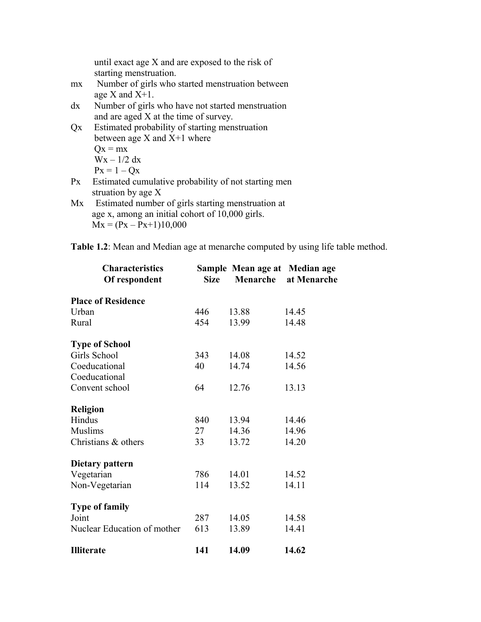until exact age X and are exposed to the risk of starting menstruation.

- mx Number of girls who started menstruation between age X and X+1.
- dx Number of girls who have not started menstruation and are aged X at the time of survey.
- Qx Estimated probability of starting menstruation between age  $X$  and  $X+1$  where  $Qx = mx$  $Wx - 1/2 dx$  $Px = 1 - Qx$
- Px Estimated cumulative probability of not starting men struation by age X
- Mx Estimated number of girls starting menstruation at age x, among an initial cohort of 10,000 girls.  $Mx = (Px - Px + 1)10,000$

| <b>Characteristics</b><br>Of respondent | <b>Size</b> | Sample Mean age at Median age<br>Menarche | at Menarche |
|-----------------------------------------|-------------|-------------------------------------------|-------------|
| <b>Place of Residence</b>               |             |                                           |             |
| Urban                                   | 446         | 13.88                                     | 14.45       |
| Rural                                   | 454         | 13.99                                     | 14.48       |
| <b>Type of School</b>                   |             |                                           |             |
| Girls School                            | 343         | 14.08                                     | 14.52       |
| Coeducational                           | 40          | 14.74                                     | 14.56       |
| Coeducational                           |             |                                           |             |
| Convent school                          | 64          | 12.76                                     | 13.13       |
| <b>Religion</b>                         |             |                                           |             |
| Hindus                                  | 840         | 13.94                                     | 14.46       |
| <b>Muslims</b>                          | 27          | 14.36                                     | 14.96       |
| Christians & others                     | 33          | 13.72                                     | 14.20       |
| Dietary pattern                         |             |                                           |             |
| Vegetarian                              | 786         | 14.01                                     | 14.52       |
| Non-Vegetarian                          | 114         | 13.52                                     | 14.11       |
| <b>Type of family</b>                   |             |                                           |             |
| Joint                                   | 287         | 14.05                                     | 14.58       |
| Nuclear Education of mother             | 613         | 13.89                                     | 14.41       |
| <b>Illiterate</b>                       | 141         | 14.09                                     | 14.62       |

**Table 1.2**: Mean and Median age at menarche computed by using life table method.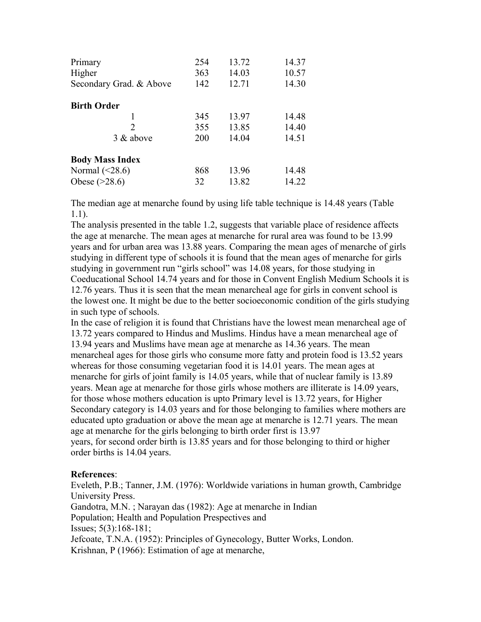| Primary<br>Higher<br>Secondary Grad. & Above | 254<br>363<br>142 | 13.72<br>14.03<br>12.71 | 14.37<br>10.57<br>14.30 |
|----------------------------------------------|-------------------|-------------------------|-------------------------|
| <b>Birth Order</b>                           |                   |                         |                         |
|                                              | 345               | 13.97                   | 14.48                   |
| $\mathfrak{D}$                               | 355               | 13.85                   | 14.40                   |
| 3 & above                                    | 200               | 14.04                   | 14.51                   |
| <b>Body Mass Index</b>                       |                   |                         |                         |
| Normal $(\leq 28.6)$                         | 868               | 13.96                   | 14.48                   |
| Obese $(>28.6)$                              | 32                | 13.82                   | 14.22                   |

The median age at menarche found by using life table technique is 14.48 years (Table 1.1).

The analysis presented in the table 1.2, suggests that variable place of residence affects the age at menarche. The mean ages at menarche for rural area was found to be 13.99 years and for urban area was 13.88 years. Comparing the mean ages of menarche of girls studying in different type of schools it is found that the mean ages of menarche for girls studying in government run "girls school" was 14.08 years, for those studying in Coeducational School 14.74 years and for those in Convent English Medium Schools it is 12.76 years. Thus it is seen that the mean menarcheal age for girls in convent school is the lowest one. It might be due to the better socioeconomic condition of the girls studying in such type of schools.

In the case of religion it is found that Christians have the lowest mean menarcheal age of 13.72 years compared to Hindus and Muslims. Hindus have a mean menarcheal age of 13.94 years and Muslims have mean age at menarche as 14.36 years. The mean menarcheal ages for those girls who consume more fatty and protein food is 13.52 years whereas for those consuming vegetarian food it is 14.01 years. The mean ages at menarche for girls of joint family is 14.05 years, while that of nuclear family is 13.89 years. Mean age at menarche for those girls whose mothers are illiterate is 14.09 years, for those whose mothers education is upto Primary level is 13.72 years, for Higher Secondary category is 14.03 years and for those belonging to families where mothers are educated upto graduation or above the mean age at menarche is 12.71 years. The mean age at menarche for the girls belonging to birth order first is 13.97 years, for second order birth is 13.85 years and for those belonging to third or higher order births is 14.04 years.

### **References**:

Eveleth, P.B.; Tanner, J.M. (1976): Worldwide variations in human growth, Cambridge University Press.

Gandotra, M.N. ; Narayan das (1982): Age at menarche in Indian Population; Health and Population Prespectives and Issues; 5(3):168-181; Jefcoate, T.N.A. (1952): Principles of Gynecology, Butter Works, London. Krishnan, P (1966): Estimation of age at menarche,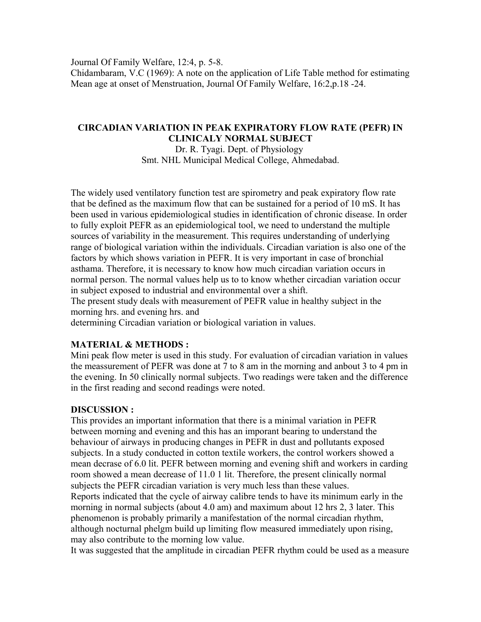Journal Of Family Welfare, 12:4, p. 5-8.

Chidambaram, V.C (1969): A note on the application of Life Table method for estimating Mean age at onset of Menstruation, Journal Of Family Welfare, 16:2,p.18 -24.

### **CIRCADIAN VARIATION IN PEAK EXPIRATORY FLOW RATE (PEFR) IN CLINICALY NORMAL SUBJECT**

Dr. R. Tyagi. Dept. of Physiology Smt. NHL Municipal Medical College, Ahmedabad.

The widely used ventilatory function test are spirometry and peak expiratory flow rate that be defined as the maximum flow that can be sustained for a period of 10 mS. It has been used in various epidemiological studies in identification of chronic disease. In order to fully exploit PEFR as an epidemiological tool, we need to understand the multiple sources of variability in the measurement. This requires understanding of underlying range of biological variation within the individuals. Circadian variation is also one of the factors by which shows variation in PEFR. It is very important in case of bronchial asthama. Therefore, it is necessary to know how much circadian variation occurs in normal person. The normal values help us to to know whether circadian variation occur in subject exposed to industrial and environmental over a shift.

The present study deals with measurement of PEFR value in healthy subject in the morning hrs. and evening hrs. and

determining Circadian variation or biological variation in values.

### **MATERIAL & METHODS :**

Mini peak flow meter is used in this study. For evaluation of circadian variation in values the meassurement of PEFR was done at 7 to 8 am in the morning and anbout 3 to 4 pm in the evening. In 50 clinically normal subjects. Two readings were taken and the difference in the first reading and second readings were noted.

### **DISCUSSION :**

This provides an important information that there is a minimal variation in PEFR between morning and evening and this has an imporant bearing to understand the behaviour of airways in producing changes in PEFR in dust and pollutants exposed subjects. In a study conducted in cotton textile workers, the control workers showed a mean decrase of 6.0 lit. PEFR between morning and evening shift and workers in carding room showed a mean decrease of 11.0 1 lit. Therefore, the present clinically normal subjects the PEFR circadian variation is very much less than these values. Reports indicated that the cycle of airway calibre tends to have its minimum early in the morning in normal subjects (about 4.0 am) and maximum about 12 hrs 2, 3 later. This phenomenon is probably primarily a manifestation of the normal circadian rhythm, although nocturnal phelgm build up limiting flow measured immediately upon rising, may also contribute to the morning low value.

It was suggested that the amplitude in circadian PEFR rhythm could be used as a measure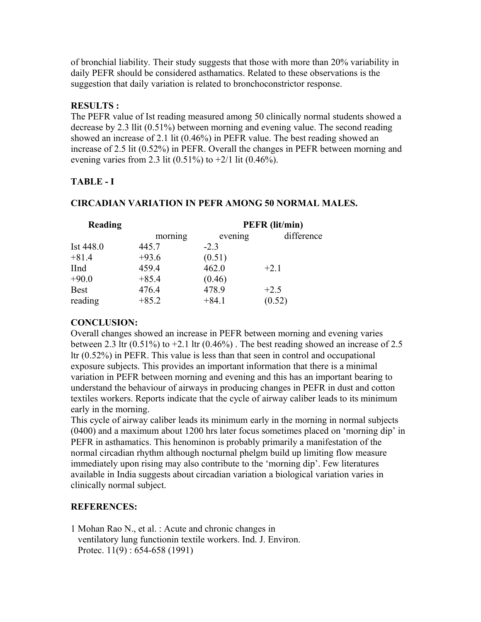of bronchial liability. Their study suggests that those with more than 20% variability in daily PEFR should be considered asthamatics. Related to these observations is the suggestion that daily variation is related to bronchoconstrictor response.

# **RESULTS :**

The PEFR value of Ist reading measured among 50 clinically normal students showed a decrease by 2.3 llit (0.51%) between morning and evening value. The second reading showed an increase of 2.1 lit (0.46%) in PEFR value. The best reading showed an increase of 2.5 lit (0.52%) in PEFR. Overall the changes in PEFR between morning and evening varies from 2.3 lit  $(0.51\%)$  to  $+2/1$  lit  $(0.46\%)$ .

# **TABLE - I**

# **CIRCADIAN VARIATION IN PEFR AMONG 50 NORMAL MALES.**

| Reading     |         | <b>PEFR</b> (lit/min) |            |  |  |
|-------------|---------|-----------------------|------------|--|--|
|             | morning | evening               | difference |  |  |
| Ist 448.0   | 445.7   | $-2.3$                |            |  |  |
| $+81.4$     | $+93.6$ | (0.51)                |            |  |  |
| <b>IInd</b> | 459.4   | 462.0                 | $+2.1$     |  |  |
| $+90.0$     | $+85.4$ | (0.46)                |            |  |  |
| <b>Best</b> | 476.4   | 478.9                 | $+2.5$     |  |  |
| reading     | $+85.2$ | $+84.1$               | (0.52)     |  |  |

# **CONCLUSION:**

Overall changes showed an increase in PEFR between morning and evening varies between 2.3 ltr  $(0.51\%)$  to  $+2.1$  ltr  $(0.46\%)$ . The best reading showed an increase of 2.5 ltr (0.52%) in PEFR. This value is less than that seen in control and occupational exposure subjects. This provides an important information that there is a minimal variation in PEFR between morning and evening and this has an important bearing to understand the behaviour of airways in producing changes in PEFR in dust and cotton textiles workers. Reports indicate that the cycle of airway caliber leads to its minimum early in the morning.

This cycle of airway caliber leads its minimum early in the morning in normal subjects (0400) and a maximum about 1200 hrs later focus sometimes placed on 'morning dip' in PEFR in asthamatics. This henominon is probably primarily a manifestation of the normal circadian rhythm although nocturnal phelgm build up limiting flow measure immediately upon rising may also contribute to the 'morning dip'. Few literatures available in India suggests about circadian variation a biological variation varies in clinically normal subject.

# **REFERENCES:**

1 Mohan Rao N., et al. : Acute and chronic changes in ventilatory lung functionin textile workers. Ind. J. Environ. Protec. 11(9) : 654-658 (1991)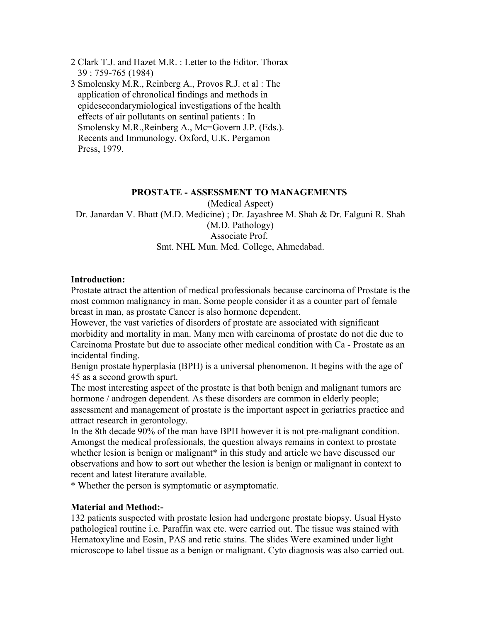- 2 Clark T.J. and Hazet M.R. : Letter to the Editor. Thorax 39 : 759-765 (1984)
- 3 Smolensky M.R., Reinberg A., Provos R.J. et al : The application of chronolical findings and methods in epidesecondarymiological investigations of the health effects of air pollutants on sentinal patients : In Smolensky M.R., Reinberg A., Mc=Govern J.P. (Eds.). Recents and Immunology. Oxford, U.K. Pergamon Press, 1979.

### **PROSTATE - ASSESSMENT TO MANAGEMENTS**

(Medical Aspect) Dr. Janardan V. Bhatt (M.D. Medicine) ; Dr. Jayashree M. Shah & Dr. Falguni R. Shah (M.D. Pathology) Associate Prof. Smt. NHL Mun. Med. College, Ahmedabad.

#### **Introduction:**

Prostate attract the attention of medical professionals because carcinoma of Prostate is the most common malignancy in man. Some people consider it as a counter part of female breast in man, as prostate Cancer is also hormone dependent.

However, the vast varieties of disorders of prostate are associated with significant morbidity and mortality in man. Many men with carcinoma of prostate do not die due to Carcinoma Prostate but due to associate other medical condition with Ca - Prostate as an incidental finding.

Benign prostate hyperplasia (BPH) is a universal phenomenon. It begins with the age of 45 as a second growth spurt.

The most interesting aspect of the prostate is that both benign and malignant tumors are hormone / androgen dependent. As these disorders are common in elderly people;

assessment and management of prostate is the important aspect in geriatrics practice and attract research in gerontology.

In the 8th decade 90% of the man have BPH however it is not pre-malignant condition. Amongst the medical professionals, the question always remains in context to prostate whether lesion is benign or malignant<sup>\*</sup> in this study and article we have discussed our observations and how to sort out whether the lesion is benign or malignant in context to recent and latest literature available.

\* Whether the person is symptomatic or asymptomatic.

### **Material and Method:-**

132 patients suspected with prostate lesion had undergone prostate biopsy. Usual Hysto pathological routine i.e. Paraffin wax etc. were carried out. The tissue was stained with Hematoxyline and Eosin, PAS and retic stains. The slides Were examined under light microscope to label tissue as a benign or malignant. Cyto diagnosis was also carried out.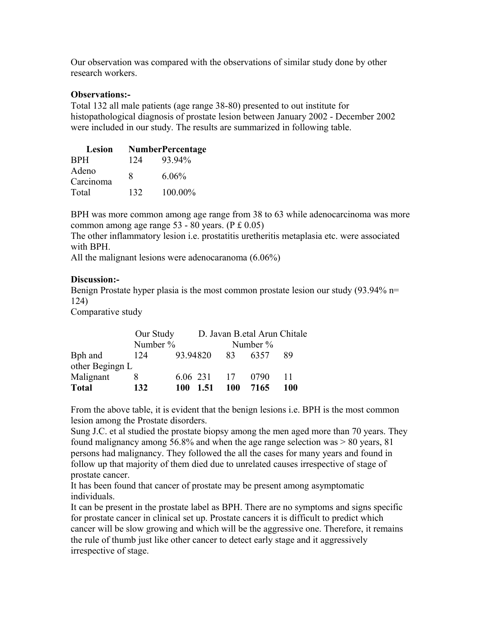Our observation was compared with the observations of similar study done by other research workers.

### **Observations:-**

Total 132 all male patients (age range 38-80) presented to out institute for histopathological diagnosis of prostate lesion between January 2002 - December 2002 were included in our study. The results are summarized in following table.

| Lesion             | <b>NumberPercentage</b> |          |  |  |
|--------------------|-------------------------|----------|--|--|
| <b>BPH</b>         | 124                     | 93.94%   |  |  |
| Adeno<br>Carcinoma | 8                       | $6.06\%$ |  |  |
| Total              | 132                     | 100.00%  |  |  |

BPH was more common among age range from 38 to 63 while adenocarcinoma was more common among age range 53 - 80 years. (P £ 0.05)

The other inflammatory lesion i.e. prostatitis uretheritis metaplasia etc. were associated with BPH.

All the malignant lesions were adenocaranoma (6.06%)

## **Discussion:-**

Benign Prostate hyper plasia is the most common prostate lesion our study (93.94% n= 124)

Comparative study

|                 | Our Study |          |     | D. Javan B. etal Arun Chitale |     |
|-----------------|-----------|----------|-----|-------------------------------|-----|
|                 | Number %  |          |     | Number $\%$                   |     |
| Bph and         | 124       | 93.94820 | 83  | 6357                          | 89  |
| other Begingn L |           |          |     |                               |     |
| Malignant       |           | 6.06 231 | 17  | 0790                          |     |
| <b>Total</b>    | 132       | 100 1.51 | 100 | 7165                          | 100 |

From the above table, it is evident that the benign lesions i.e. BPH is the most common lesion among the Prostate disorders.

Sung J.C. et al studied the prostate biopsy among the men aged more than 70 years. They found malignancy among 56.8% and when the age range selection was > 80 years, 81 persons had malignancy. They followed the all the cases for many years and found in follow up that majority of them died due to unrelated causes irrespective of stage of prostate cancer.

It has been found that cancer of prostate may be present among asymptomatic individuals.

It can be present in the prostate label as BPH. There are no symptoms and signs specific for prostate cancer in clinical set up. Prostate cancers it is difficult to predict which cancer will be slow growing and which will be the aggressive one. Therefore, it remains the rule of thumb just like other cancer to detect early stage and it aggressively irrespective of stage.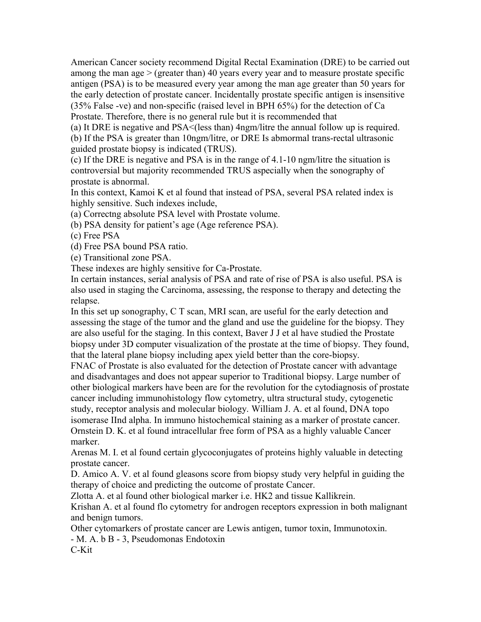American Cancer society recommend Digital Rectal Examination (DRE) to be carried out among the man age  $>$  (greater than) 40 years every year and to measure prostate specific antigen (PSA) is to be measured every year among the man age greater than 50 years for the early detection of prostate cancer. Incidentally prostate specific antigen is insensitive (35% False -ve) and non-specific (raised level in BPH 65%) for the detection of Ca Prostate. Therefore, there is no general rule but it is recommended that

(a) It DRE is negative and PSA<(less than) 4ngm/litre the annual follow up is required. (b) If the PSA is greater than 10ngm/litre, or DRE Is abmormal trans-rectal ultrasonic guided prostate biopsy is indicated (TRUS).

(c) If the DRE is negative and PSA is in the range of 4.1-10 ngm/litre the situation is controversial but majority recommended TRUS aspecially when the sonography of prostate is abnormal.

In this context, Kamoi K et al found that instead of PSA, several PSA related index is highly sensitive. Such indexes include,

(a) Correctng absolute PSA level with Prostate volume.

(b) PSA density for patient's age (Age reference PSA).

(c) Free PSA

(d) Free PSA bound PSA ratio.

(e) Transitional zone PSA.

These indexes are highly sensitive for Ca-Prostate.

In certain instances, serial analysis of PSA and rate of rise of PSA is also useful. PSA is also used in staging the Carcinoma, assessing, the response to therapy and detecting the relapse.

In this set up sonography, C T scan, MRI scan, are useful for the early detection and assessing the stage of the tumor and the gland and use the guideline for the biopsy. They are also useful for the staging. In this context, Baver J J et al have studied the Prostate biopsy under 3D computer visualization of the prostate at the time of biopsy. They found, that the lateral plane biopsy including apex yield better than the core-biopsy.

FNAC of Prostate is also evaluated for the detection of Prostate cancer with advantage and disadvantages and does not appear superior to Traditional biopsy. Large number of other biological markers have been are for the revolution for the cytodiagnosis of prostate cancer including immunohistology flow cytometry, ultra structural study, cytogenetic study, receptor analysis and molecular biology. William J. A. et al found, DNA topo isomerase IInd alpha. In immuno histochemical staining as a marker of prostate cancer. Ornstein D. K. et al found intracellular free form of PSA as a highly valuable Cancer marker.

Arenas M. I. et al found certain glycoconjugates of proteins highly valuable in detecting prostate cancer.

D. Amico A. V. et al found gleasons score from biopsy study very helpful in guiding the therapy of choice and predicting the outcome of prostate Cancer.

Zlotta A. et al found other biological marker i.e. HK2 and tissue Kallikrein.

Krishan A. et al found flo cytometry for androgen receptors expression in both malignant and benign tumors.

Other cytomarkers of prostate cancer are Lewis antigen, tumor toxin, Immunotoxin.

- M. A. b B - 3, Pseudomonas Endotoxin

C-Kit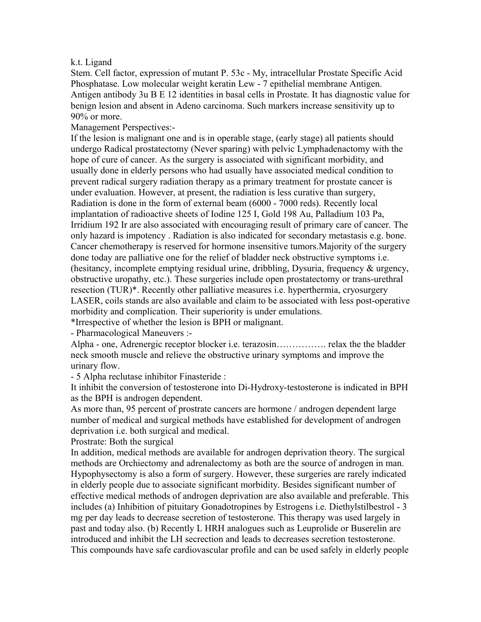### k.t. Ligand

Stem. Cell factor, expression of mutant P. 53c - My, intracellular Prostate Specific Acid Phosphatase. Low molecular weight keratin Lew - 7 epithelial membrane Antigen. Antigen antibody 3u B E 12 identities in basal cells in Prostate. It has diagnostic value for benign lesion and absent in Adeno carcinoma. Such markers increase sensitivity up to 90% or more.

Management Perspectives:-

If the lesion is malignant one and is in operable stage, (early stage) all patients should undergo Radical prostatectomy (Never sparing) with pelvic Lymphadenactomy with the hope of cure of cancer. As the surgery is associated with significant morbidity, and usually done in elderly persons who had usually have associated medical condition to prevent radical surgery radiation therapy as a primary treatment for prostate cancer is under evaluation. However, at present, the radiation is less curative than surgery, Radiation is done in the form of external beam (6000 - 7000 reds). Recently local implantation of radioactive sheets of Iodine 125 I, Gold 198 Au, Palladium 103 Pa, Irridium 192 Ir are also associated with encouraging result of primary care of cancer. The only hazard is impotency . Radiation is also indicated for secondary metastasis e.g. bone. Cancer chemotherapy is reserved for hormone insensitive tumors.Majority of the surgery done today are palliative one for the relief of bladder neck obstructive symptoms i.e. (hesitancy, incomplete emptying residual urine, dribbling, Dysuria, frequency & urgency, obstructive uropathy, etc.). These surgeries include open prostatectomy or trans-urethral resection (TUR)\*. Recently other palliative measures i.e. hyperthermia, cryosurgery LASER, coils stands are also available and claim to be associated with less post-operative morbidity and complication. Their superiority is under emulations.

\*Irrespective of whether the lesion is BPH or malignant.

- Pharmacological Maneuvers :-

Alpha - one, Adrenergic receptor blocker i.e. terazosin……………. relax the the bladder neck smooth muscle and relieve the obstructive urinary symptoms and improve the urinary flow.

- 5 Alpha reclutase inhibitor Finasteride :

It inhibit the conversion of testosterone into Di-Hydroxy-testosterone is indicated in BPH as the BPH is androgen dependent.

As more than, 95 percent of prostrate cancers are hormone / androgen dependent large number of medical and surgical methods have established for development of androgen deprivation i.e. both surgical and medical.

Prostrate: Both the surgical

In addition, medical methods are available for androgen deprivation theory. The surgical methods are Orchiectomy and adrenalectomy as both are the source of androgen in man. Hypophysectomy is also a form of surgery. However, these surgeries are rarely indicated in elderly people due to associate significant morbidity. Besides significant number of effective medical methods of androgen deprivation are also available and preferable. This includes (a) Inhibition of pituitary Gonadotropines by Estrogens i.e. Diethylstilbestrol - 3 mg per day leads to decrease secretion of testosterone. This therapy was used largely in past and today also. (b) Recently L HRH analogues such as Leuprolide or Buserelin are introduced and inhibit the LH secrection and leads to decreases secretion testosterone. This compounds have safe cardiovascular profile and can be used safely in elderly people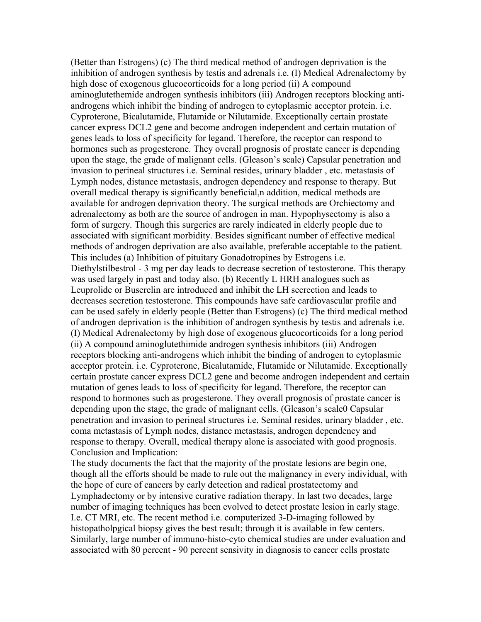(Better than Estrogens) (c) The third medical method of androgen deprivation is the inhibition of androgen synthesis by testis and adrenals i.e. (I) Medical Adrenalectomy by high dose of exogenous glucocorticoids for a long period (ii) A compound aminoglutethemide androgen synthesis inhibitors (iii) Androgen receptors blocking antiandrogens which inhibit the binding of androgen to cytoplasmic acceptor protein. i.e. Cyproterone, Bicalutamide, Flutamide or Nilutamide. Exceptionally certain prostate cancer express DCL2 gene and become androgen independent and certain mutation of genes leads to loss of specificity for legand. Therefore, the receptor can respond to hormones such as progesterone. They overall prognosis of prostate cancer is depending upon the stage, the grade of malignant cells. (Gleason's scale) Capsular penetration and invasion to perineal structures i.e. Seminal resides, urinary bladder , etc. metastasis of Lymph nodes, distance metastasis, androgen dependency and response to therapy. But overall medical therapy is significantly beneficial,n addition, medical methods are available for androgen deprivation theory. The surgical methods are Orchiectomy and adrenalectomy as both are the source of androgen in man. Hypophysectomy is also a form of surgery. Though this surgeries are rarely indicated in elderly people due to associated with significant morbidity. Besides significant number of effective medical methods of androgen deprivation are also available, preferable acceptable to the patient. This includes (a) Inhibition of pituitary Gonadotropines by Estrogens i.e. Diethylstilbestrol - 3 mg per day leads to decrease secretion of testosterone. This therapy was used largely in past and today also. (b) Recently L HRH analogues such as Leuprolide or Buserelin are introduced and inhibit the LH secrection and leads to decreases secretion testosterone. This compounds have safe cardiovascular profile and can be used safely in elderly people (Better than Estrogens) (c) The third medical method of androgen deprivation is the inhibition of androgen synthesis by testis and adrenals i.e. (I) Medical Adrenalectomy by high dose of exogenous glucocorticoids for a long period (ii) A compound aminoglutethimide androgen synthesis inhibitors (iii) Androgen receptors blocking anti-androgens which inhibit the binding of androgen to cytoplasmic acceptor protein. i.e. Cyproterone, Bicalutamide, Flutamide or Nilutamide. Exceptionally certain prostate cancer express DCL2 gene and become androgen independent and certain mutation of genes leads to loss of specificity for legand. Therefore, the receptor can respond to hormones such as progesterone. They overall prognosis of prostate cancer is depending upon the stage, the grade of malignant cells. (Gleason's scale0 Capsular penetration and invasion to perineal structures i.e. Seminal resides, urinary bladder , etc. coma metastasis of Lymph nodes, distance metastasis, androgen dependency and response to therapy. Overall, medical therapy alone is associated with good prognosis. Conclusion and Implication:

The study documents the fact that the majority of the prostate lesions are begin one, though all the efforts should be made to rule out the malignancy in every individual, with the hope of cure of cancers by early detection and radical prostatectomy and Lymphadectomy or by intensive curative radiation therapy. In last two decades, large number of imaging techniques has been evolved to detect prostate lesion in early stage. I.e. CT MRI, etc. The recent method i.e. computerized 3-D-imaging followed by histopatholpgical biopsy gives the best result; through it is available in few centers. Similarly, large number of immuno-histo-cyto chemical studies are under evaluation and associated with 80 percent - 90 percent sensivity in diagnosis to cancer cells prostate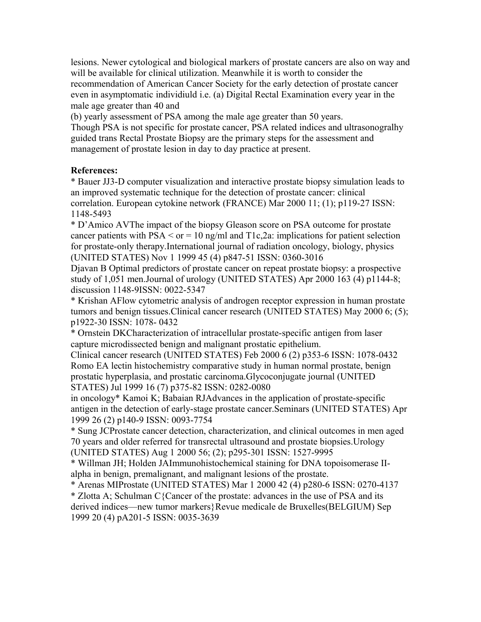lesions. Newer cytological and biological markers of prostate cancers are also on way and will be available for clinical utilization. Meanwhile it is worth to consider the recommendation of American Cancer Society for the early detection of prostate cancer even in asymptomatic individiuld i.e. (a) Digital Rectal Examination every year in the male age greater than 40 and

(b) yearly assessment of PSA among the male age greater than 50 years.

Though PSA is not specific for prostate cancer, PSA related indices and ultrasonogralhy guided trans Rectal Prostate Biopsy are the primary steps for the assessment and management of prostate lesion in day to day practice at present.

# **References:**

\* Bauer JJ3-D computer visualization and interactive prostate biopsy simulation leads to an improved systematic technique for the detection of prostate cancer: clinical correlation. European cytokine network (FRANCE) Mar 2000 11; (1); p119-27 ISSN: 1148-5493

\* D'Amico AVThe impact of the biopsy Gleason score on PSA outcome for prostate cancer patients with  $PSA \leq or = 10$  ng/ml and  $T1c, 2a$ : implications for patient selection for prostate-only therapy.International journal of radiation oncology, biology, physics (UNITED STATES) Nov 1 1999 45 (4) p847-51 ISSN: 0360-3016

Djavan B Optimal predictors of prostate cancer on repeat prostate biopsy: a prospective study of 1,051 men.Journal of urology (UNITED STATES) Apr 2000 163 (4) p1144-8; discussion 1148-9ISSN: 0022-5347

\* Krishan AFlow cytometric analysis of androgen receptor expression in human prostate tumors and benign tissues.Clinical cancer research (UNITED STATES) May 2000 6; (5); p1922-30 ISSN: 1078- 0432

\* Ornstein DKCharacterization of intracellular prostate-specific antigen from laser capture microdissected benign and malignant prostatic epithelium.

Clinical cancer research (UNITED STATES) Feb 2000 6 (2) p353-6 ISSN: 1078-0432 Romo EA lectin histochemistry comparative study in human normal prostate, benign prostatic hyperplasia, and prostatic carcinoma.Glycoconjugate journal (UNITED STATES) Jul 1999 16 (7) p375-82 ISSN: 0282-0080

in oncology\* Kamoi K; Babaian RJAdvances in the application of prostate-specific antigen in the detection of early-stage prostate cancer.Seminars (UNITED STATES) Apr 1999 26 (2) p140-9 ISSN: 0093-7754

\* Sung JCProstate cancer detection, characterization, and clinical outcomes in men aged 70 years and older referred for transrectal ultrasound and prostate biopsies.Urology (UNITED STATES) Aug 1 2000 56; (2); p295-301 ISSN: 1527-9995

\* Willman JH; Holden JAImmunohistochemical staining for DNA topoisomerase IIalpha in benign, premalignant, and malignant lesions of the prostate.

\* Arenas MIProstate (UNITED STATES) Mar 1 2000 42 (4) p280-6 ISSN: 0270-4137

\* Zlotta A; Schulman C{Cancer of the prostate: advances in the use of PSA and its derived indices—new tumor markers}Revue medicale de Bruxelles(BELGIUM) Sep 1999 20 (4) pA201-5 ISSN: 0035-3639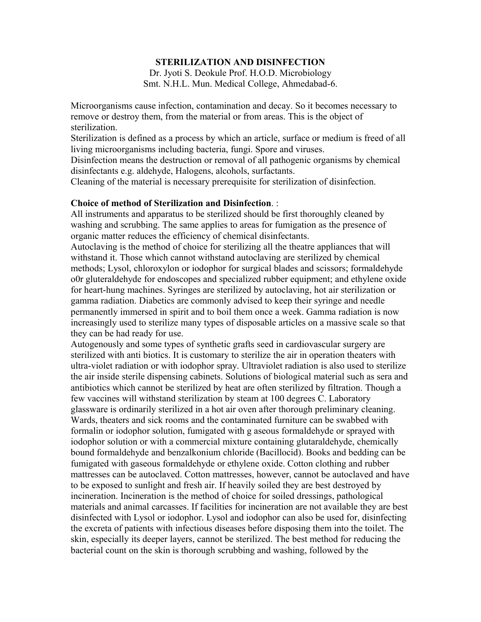### **STERILIZATION AND DISINFECTION**

Dr. Jyoti S. Deokule Prof. H.O.D. Microbiology Smt. N.H.L. Mun. Medical College, Ahmedabad-6.

Microorganisms cause infection, contamination and decay. So it becomes necessary to remove or destroy them, from the material or from areas. This is the object of sterilization.

Sterilization is defined as a process by which an article, surface or medium is freed of all living microorganisms including bacteria, fungi. Spore and viruses.

Disinfection means the destruction or removal of all pathogenic organisms by chemical disinfectants e.g. aldehyde, Halogens, alcohols, surfactants.

Cleaning of the material is necessary prerequisite for sterilization of disinfection.

#### **Choice of method of Sterilization and Disinfection**. :

All instruments and apparatus to be sterilized should be first thoroughly cleaned by washing and scrubbing. The same applies to areas for fumigation as the presence of organic matter reduces the efficiency of chemical disinfectants.

Autoclaving is the method of choice for sterilizing all the theatre appliances that will withstand it. Those which cannot withstand autoclaving are sterilized by chemical methods; Lysol, chloroxylon or iodophor for surgical blades and scissors; formaldehyde o0r gluteraldehyde for endoscopes and specialized rubber equipment; and ethylene oxide for heart-hung machines. Syringes are sterilized by autoclaving, hot air sterilization or gamma radiation. Diabetics are commonly advised to keep their syringe and needle permanently immersed in spirit and to boil them once a week. Gamma radiation is now increasingly used to sterilize many types of disposable articles on a massive scale so that they can be had ready for use.

Autogenously and some types of synthetic grafts seed in cardiovascular surgery are sterilized with anti biotics. It is customary to sterilize the air in operation theaters with ultra-violet radiation or with iodophor spray. Ultraviolet radiation is also used to sterilize the air inside sterile dispensing cabinets. Solutions of biological material such as sera and antibiotics which cannot be sterilized by heat are often sterilized by filtration. Though a few vaccines will withstand sterilization by steam at 100 degrees C. Laboratory glassware is ordinarily sterilized in a hot air oven after thorough preliminary cleaning. Wards, theaters and sick rooms and the contaminated furniture can be swabbed with formalin or iodophor solution, fumigated with g aseous formaldehyde or sprayed with iodophor solution or with a commercial mixture containing glutaraldehyde, chemically bound formaldehyde and benzalkonium chloride (Bacillocid). Books and bedding can be fumigated with gaseous formaldehyde or ethylene oxide. Cotton clothing and rubber mattresses can be autoclaved. Cotton mattresses, however, cannot be autoclaved and have to be exposed to sunlight and fresh air. If heavily soiled they are best destroyed by incineration. Incineration is the method of choice for soiled dressings, pathological materials and animal carcasses. If facilities for incineration are not available they are best disinfected with Lysol or iodophor. Lysol and iodophor can also be used for, disinfecting the excreta of patients with infectious diseases before disposing them into the toilet. The skin, especially its deeper layers, cannot be sterilized. The best method for reducing the bacterial count on the skin is thorough scrubbing and washing, followed by the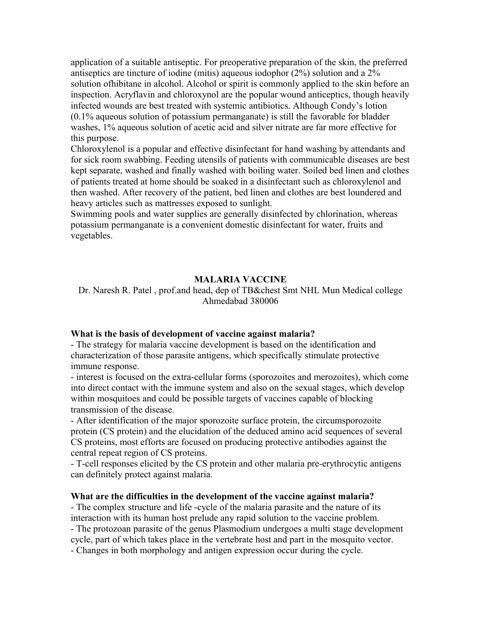application of a suitable antiseptic. For preoperative preparation of the skin, the preferred antiseptics are tincture of iodine (mitis) aqueous iodophor (2%) solution and a 2% solution ofhibitane in alcohol. Alcohol or spirit is commonly applied to the skin before an inspection. Acryflavin and chloroxynol are the popular wound anticeptics, though heavily infected wounds are best treated with systemic antibiotics. Although Condy's lotion (0.1% aqueous solution of potassium permanganate) is still the favorable for bladder washes, 1% aqueous solution of acetic acid and silver nitrate are far more effective for this purpose.

Chloroxylenol is a popular and effective disinfectant for hand washing by attendants and for sick room swabbing. Feeding utensils of patients with communicable diseases are best kept separate, washed and finally washed with boiling water. Soiled bed linen and clothes of patients treated at home should be soaked in a disinfectant such as chloroxylenol and then washed. After recovery of the patient, bed linen and clothes are best loundered and heavy articles such as mattresses exposed to sunlight.

Swimming pools and water supplies are generally disinfected by chlorination, whereas potassium permanganate is a convenient domestic disinfectant for water, fruits and vegetables.

### **MALARIA VACCINE**

## Dr. Naresh R. Patel , prof.and head, dep of TB&chest Smt NHL Mun Medical college Ahmedabad 380006

### **What is the basis of development of vaccine against malaria?**

- The strategy for malaria vaccine development is based on the identification and characterization of those parasite antigens, which specifically stimulate protective immune response.

- interest is focused on the extra-cellular forms (sporozoites and merozoites), which come into direct contact with the immune system and also on the sexual stages, which develop within mosquitoes and could be possible targets of vaccines capable of blocking transmission of the disease.

- After identification of the major sporozoite surface protein, the circumsporozoite protein (CS protein) and the elucidation of the deduced amino acid sequences of several CS proteins, most efforts are focused on producing protective antibodies against the central repeat region of CS proteins.

- T-cell responses elicited by the CS protein and other malaria pre-erythrocytic antigens can definitely protect against malaria.

#### **What are the difficulties in the development of the vaccine against malaria?**

- The complex structure and life -cycle of the malaria parasite and the nature of its interaction with its human host prelude any rapid solution to the vaccine problem. - The protozoan parasite of the genus Plasmodium undergoes a multi stage development cycle, part of which takes place in the vertebrate host and part in the mosquito vector. - Changes in both morphology and antigen expression occur during the cycle.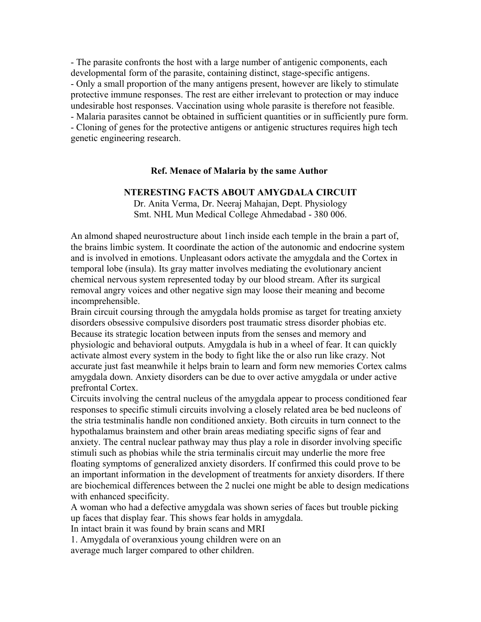- The parasite confronts the host with a large number of antigenic components, each developmental form of the parasite, containing distinct, stage-specific antigens. - Only a small proportion of the many antigens present, however are likely to stimulate protective immune responses. The rest are either irrelevant to protection or may induce undesirable host responses. Vaccination using whole parasite is therefore not feasible. - Malaria parasites cannot be obtained in sufficient quantities or in sufficiently pure form. - Cloning of genes for the protective antigens or antigenic structures requires high tech genetic engineering research.

#### **Ref. Menace of Malaria by the same Author**

#### **NTERESTING FACTS ABOUT AMYGDALA CIRCUIT**

Dr. Anita Verma, Dr. Neeraj Mahajan, Dept. Physiology Smt. NHL Mun Medical College Ahmedabad - 380 006.

An almond shaped neurostructure about 1inch inside each temple in the brain a part of, the brains limbic system. It coordinate the action of the autonomic and endocrine system and is involved in emotions. Unpleasant odors activate the amygdala and the Cortex in temporal lobe (insula). Its gray matter involves mediating the evolutionary ancient chemical nervous system represented today by our blood stream. After its surgical removal angry voices and other negative sign may loose their meaning and become incomprehensible.

Brain circuit coursing through the amygdala holds promise as target for treating anxiety disorders obsessive compulsive disorders post traumatic stress disorder phobias etc. Because its strategic location between inputs from the senses and memory and physiologic and behavioral outputs. Amygdala is hub in a wheel of fear. It can quickly activate almost every system in the body to fight like the or also run like crazy. Not accurate just fast meanwhile it helps brain to learn and form new memories Cortex calms amygdala down. Anxiety disorders can be due to over active amygdala or under active prefrontal Cortex.

Circuits involving the central nucleus of the amygdala appear to process conditioned fear responses to specific stimuli circuits involving a closely related area be bed nucleons of the stria testminalis handle non conditioned anxiety. Both circuits in turn connect to the hypothalamus brainstem and other brain areas mediating specific signs of fear and anxiety. The central nuclear pathway may thus play a role in disorder involving specific stimuli such as phobias while the stria terminalis circuit may underlie the more free floating symptoms of generalized anxiety disorders. If confirmed this could prove to be an important information in the development of treatments for anxiety disorders. If there are biochemical differences between the 2 nuclei one might be able to design medications with enhanced specificity.

A woman who had a defective amygdala was shown series of faces but trouble picking up faces that display fear. This shows fear holds in amygdala.

In intact brain it was found by brain scans and MRI

1. Amygdala of overanxious young children were on an average much larger compared to other children.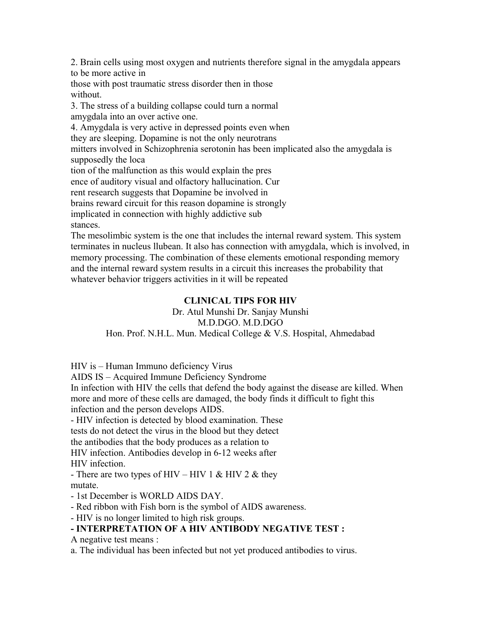2. Brain cells using most oxygen and nutrients therefore signal in the amygdala appears to be more active in

those with post traumatic stress disorder then in those without.

3. The stress of a building collapse could turn a normal amygdala into an over active one.

4. Amygdala is very active in depressed points even when

they are sleeping. Dopamine is not the only neurotrans

mitters involved in Schizophrenia serotonin has been implicated also the amygdala is supposedly the loca

tion of the malfunction as this would explain the pres

ence of auditory visual and olfactory hallucination. Cur

rent research suggests that Dopamine be involved in

brains reward circuit for this reason dopamine is strongly

implicated in connection with highly addictive sub

stances.

The mesolimbic system is the one that includes the internal reward system. This system terminates in nucleus llubean. It also has connection with amygdala, which is involved, in memory processing. The combination of these elements emotional responding memory and the internal reward system results in a circuit this increases the probability that whatever behavior triggers activities in it will be repeated

# **CLINICAL TIPS FOR HIV**

Dr. Atul Munshi Dr. Sanjay Munshi M.D.DGO. M.D.DGO Hon. Prof. N.H.L. Mun. Medical College & V.S. Hospital, Ahmedabad

HIV is – Human Immuno deficiency Virus

AIDS IS – Acquired Immune Deficiency Syndrome

In infection with HIV the cells that defend the body against the disease are killed. When more and more of these cells are damaged, the body finds it difficult to fight this infection and the person develops AIDS.

- HIV infection is detected by blood examination. These

tests do not detect the virus in the blood but they detect

the antibodies that the body produces as a relation to

HIV infection. Antibodies develop in 6-12 weeks after HIV infection.

- There are two types of HIV – HIV 1 & HIV 2 & they mutate.

- 1st December is WORLD AIDS DAY.

- Red ribbon with Fish born is the symbol of AIDS awareness.

- HIV is no longer limited to high risk groups.

# **- INTERPRETATION OF A HIV ANTIBODY NEGATIVE TEST :**

A negative test means :

a. The individual has been infected but not yet produced antibodies to virus.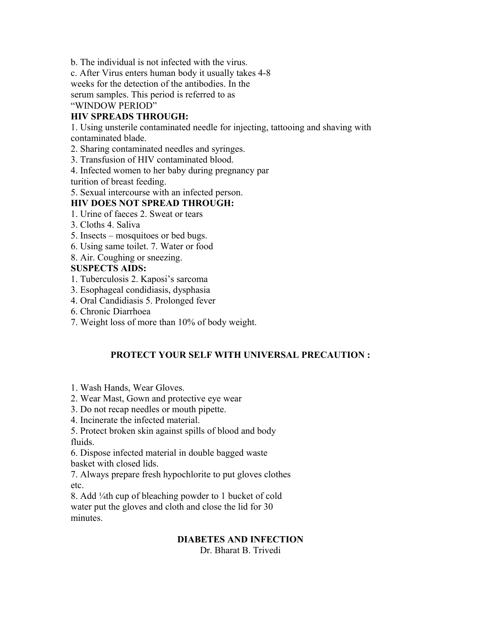b. The individual is not infected with the virus.

c. After Virus enters human body it usually takes 4-8

weeks for the detection of the antibodies. In the

serum samples. This period is referred to as

"WINDOW PERIOD"

# **HIV SPREADS THROUGH:**

1. Using unsterile contaminated needle for injecting, tattooing and shaving with contaminated blade.

2. Sharing contaminated needles and syringes.

3. Transfusion of HIV contaminated blood.

4. Infected women to her baby during pregnancy par

turition of breast feeding.

5. Sexual intercourse with an infected person.

# **HIV DOES NOT SPREAD THROUGH:**

- 1. Urine of faeces 2. Sweat or tears
- 3. Cloths 4. Saliva
- 5. Insects mosquitoes or bed bugs.
- 6. Using same toilet. 7. Water or food
- 8. Air. Coughing or sneezing.

# **SUSPECTS AIDS:**

- 1. Tuberculosis 2. Kaposi's sarcoma
- 3. Esophageal condidiasis, dysphasia
- 4. Oral Candidiasis 5. Prolonged fever
- 6. Chronic Diarrhoea
- 7. Weight loss of more than 10% of body weight.

# **PROTECT YOUR SELF WITH UNIVERSAL PRECAUTION :**

- 1. Wash Hands, Wear Gloves.
- 2. Wear Mast, Gown and protective eye wear
- 3. Do not recap needles or mouth pipette.
- 4. Incinerate the infected material.

5. Protect broken skin against spills of blood and body fluids.

6. Dispose infected material in double bagged waste basket with closed lids.

7. Always prepare fresh hypochlorite to put gloves clothes etc.

8. Add ¼th cup of bleaching powder to 1 bucket of cold water put the gloves and cloth and close the lid for 30 minutes.

# **DIABETES AND INFECTION**

Dr. Bharat B. Trivedi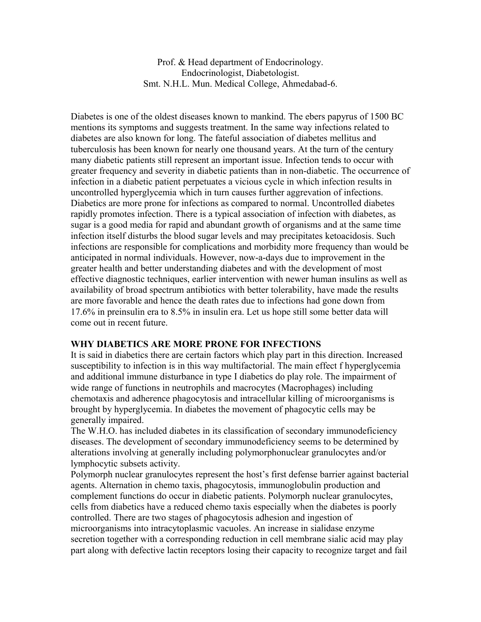Prof. & Head department of Endocrinology. Endocrinologist, Diabetologist. Smt. N.H.L. Mun. Medical College, Ahmedabad-6.

Diabetes is one of the oldest diseases known to mankind. The ebers papyrus of 1500 BC mentions its symptoms and suggests treatment. In the same way infections related to diabetes are also known for long. The fateful association of diabetes mellitus and tuberculosis has been known for nearly one thousand years. At the turn of the century many diabetic patients still represent an important issue. Infection tends to occur with greater frequency and severity in diabetic patients than in non-diabetic. The occurrence of infection in a diabetic patient perpetuates a vicious cycle in which infection results in uncontrolled hyperglycemia which in turn causes further aggrevation of infections. Diabetics are more prone for infections as compared to normal. Uncontrolled diabetes rapidly promotes infection. There is a typical association of infection with diabetes, as sugar is a good media for rapid and abundant growth of organisms and at the same time infection itself disturbs the blood sugar levels and may precipitates ketoacidosis. Such infections are responsible for complications and morbidity more frequency than would be anticipated in normal individuals. However, now-a-days due to improvement in the greater health and better understanding diabetes and with the development of most effective diagnostic techniques, earlier intervention with newer human insulins as well as availability of broad spectrum antibiotics with better tolerability, have made the results are more favorable and hence the death rates due to infections had gone down from 17.6% in preinsulin era to 8.5% in insulin era. Let us hope still some better data will come out in recent future.

### **WHY DIABETICS ARE MORE PRONE FOR INFECTIONS**

It is said in diabetics there are certain factors which play part in this direction. Increased susceptibility to infection is in this way multifactorial. The main effect f hyperglycemia and additional immune disturbance in type I diabetics do play role. The impairment of wide range of functions in neutrophils and macrocytes (Macrophages) including chemotaxis and adherence phagocytosis and intracellular killing of microorganisms is brought by hyperglycemia. In diabetes the movement of phagocytic cells may be generally impaired.

The W.H.O. has included diabetes in its classification of secondary immunodeficiency diseases. The development of secondary immunodeficiency seems to be determined by alterations involving at generally including polymorphonuclear granulocytes and/or lymphocytic subsets activity.

Polymorph nuclear granulocytes represent the host's first defense barrier against bacterial agents. Alternation in chemo taxis, phagocytosis, immunoglobulin production and complement functions do occur in diabetic patients. Polymorph nuclear granulocytes, cells from diabetics have a reduced chemo taxis especially when the diabetes is poorly controlled. There are two stages of phagocytosis adhesion and ingestion of microorganisms into intracytoplasmic vacuoles. An increase in sialidase enzyme secretion together with a corresponding reduction in cell membrane sialic acid may play part along with defective lactin receptors losing their capacity to recognize target and fail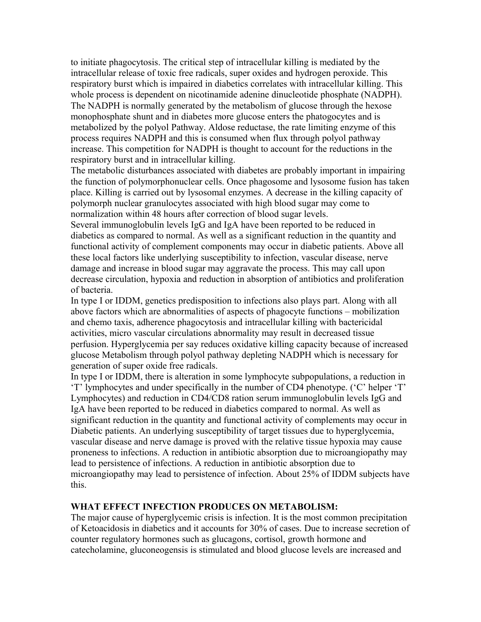to initiate phagocytosis. The critical step of intracellular killing is mediated by the intracellular release of toxic free radicals, super oxides and hydrogen peroxide. This respiratory burst which is impaired in diabetics correlates with intracellular killing. This whole process is dependent on nicotinamide adenine dinucleotide phosphate (NADPH). The NADPH is normally generated by the metabolism of glucose through the hexose monophosphate shunt and in diabetes more glucose enters the phatogocytes and is metabolized by the polyol Pathway. Aldose reductase, the rate limiting enzyme of this process requires NADPH and this is consumed when flux through polyol pathway increase. This competition for NADPH is thought to account for the reductions in the respiratory burst and in intracellular killing.

The metabolic disturbances associated with diabetes are probably important in impairing the function of polymorphonuclear cells. Once phagosome and lysosome fusion has taken place. Killing is carried out by lysosomal enzymes. A decrease in the killing capacity of polymorph nuclear granulocytes associated with high blood sugar may come to normalization within 48 hours after correction of blood sugar levels.

Several immunoglobulin levels IgG and IgA have been reported to be reduced in diabetics as compared to normal. As well as a significant reduction in the quantity and functional activity of complement components may occur in diabetic patients. Above all these local factors like underlying susceptibility to infection, vascular disease, nerve damage and increase in blood sugar may aggravate the process. This may call upon decrease circulation, hypoxia and reduction in absorption of antibiotics and proliferation of bacteria.

In type I or IDDM, genetics predisposition to infections also plays part. Along with all above factors which are abnormalities of aspects of phagocyte functions – mobilization and chemo taxis, adherence phagocytosis and intracellular killing with bactericidal activities, micro vascular circulations abnormality may result in decreased tissue perfusion. Hyperglycemia per say reduces oxidative killing capacity because of increased glucose Metabolism through polyol pathway depleting NADPH which is necessary for generation of super oxide free radicals.

In type I or IDDM, there is alteration in some lymphocyte subpopulations, a reduction in 'T' lymphocytes and under specifically in the number of CD4 phenotype. ('C' helper 'T' Lymphocytes) and reduction in CD4/CD8 ration serum immunoglobulin levels IgG and IgA have been reported to be reduced in diabetics compared to normal. As well as significant reduction in the quantity and functional activity of complements may occur in Diabetic patients. An underlying susceptibility of target tissues due to hyperglycemia, vascular disease and nerve damage is proved with the relative tissue hypoxia may cause proneness to infections. A reduction in antibiotic absorption due to microangiopathy may lead to persistence of infections. A reduction in antibiotic absorption due to microangiopathy may lead to persistence of infection. About 25% of IDDM subjects have this.

### **WHAT EFFECT INFECTION PRODUCES ON METABOLISM:**

The major cause of hyperglycemic crisis is infection. It is the most common precipitation of Ketoacidosis in diabetics and it accounts for 30% of cases. Due to increase secretion of counter regulatory hormones such as glucagons, cortisol, growth hormone and catecholamine, gluconeogensis is stimulated and blood glucose levels are increased and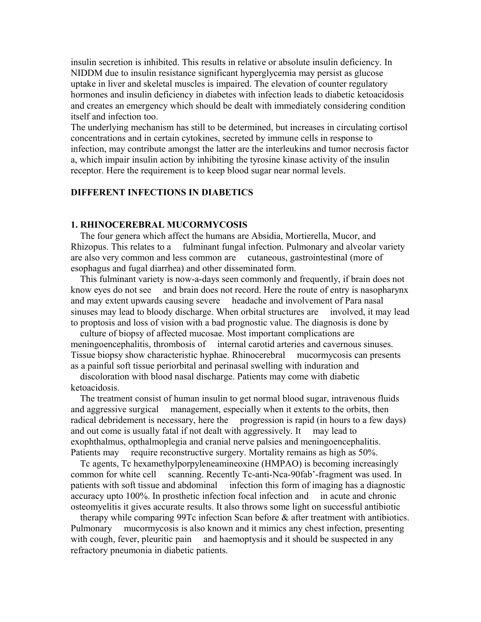insulin secretion is inhibited. This results in relative or absolute insulin deficiency. In NIDDM due to insulin resistance significant hyperglycemia may persist as glucose uptake in liver and skeletal muscles is impaired. The elevation of counter regulatory hormones and insulin deficiency in diabetes with infection leads to diabetic ketoacidosis and creates an emergency which should be dealt with immediately considering condition itself and infection too.

The underlying mechanism has still to be determined, but increases in circulating cortisol concentrations and in certain cytokines, secreted by immune cells in response to infection, may contribute amongst the latter are the interleukins and tumor necrosis factor a, which impair insulin action by inhibiting the tyrosine kinase activity of the insulin receptor. Here the requirement is to keep blood sugar near normal levels.

### **DIFFERENT INFECTIONS IN DIABETICS**

#### **1. RHINOCEREBRAL MUCORMYCOSIS**

The four genera which affect the humans are Absidia, Mortierella, Mucor, and Rhizopus. This relates to a fulminant fungal infection. Pulmonary and alveolar variety are also very common and less common are cutaneous, gastrointestinal (more of esophagus and fugal diarrhea) and other disseminated form.

This fulminant variety is now-a-days seen commonly and frequently, if brain does not know eyes do not see and brain does not record. Here the route of entry is nasopharynx and may extent upwards causing severe headache and involvement of Para nasal sinuses may lead to bloody discharge. When orbital structures are involved, it may lead to proptosis and loss of vision with a bad prognostic value. The diagnosis is done by

culture of biopsy of affected mucosae. Most important complications are meningoencephalitis, thrombosis of internal carotid arteries and cavernous sinuses. Tissue biopsy show characteristic hyphae. Rhinocerebral mucormycosis can presents as a painful soft tissue periorbital and perinasal swelling with induration and

discoloration with blood nasal discharge. Patients may come with diabetic ketoacidosis.

The treatment consist of human insulin to get normal blood sugar, intravenous fluids and aggressive surgical management, especially when it extents to the orbits, then radical debridement is necessary, here the progression is rapid (in hours to a few days) and out come is usually fatal if not dealt with aggressively. It may lead to exophthalmus, opthalmoplegia and cranial nerve palsies and meningoencephalitis. Patients may require reconstructive surgery. Mortality remains as high as 50%.

Tc agents, Tc hexamethylporpyleneamineoxine (HMPAO) is becoming increasingly common for white cell scanning. Recently Tc-anti-Nca-90fab'-fragment was used. In patients with soft tissue and abdominal infection this form of imaging has a diagnostic accuracy upto 100%. In prosthetic infection focal infection and in acute and chronic osteomyelitis it gives accurate results. It also throws some light on successful antibiotic

therapy while comparing 99Tc infection Scan before & after treatment with antibiotics. Pulmonary mucormycosis is also known and it mimics any chest infection, presenting with cough, fever, pleuritic pain and haemoptysis and it should be suspected in any refractory pneumonia in diabetic patients.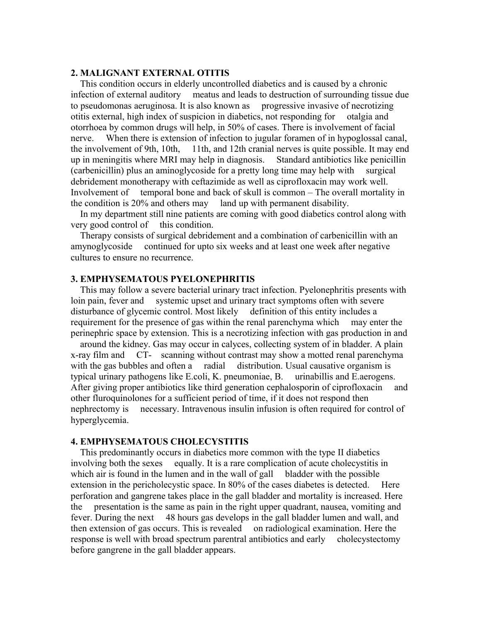#### **2. MALIGNANT EXTERNAL OTITIS**

This condition occurs in elderly uncontrolled diabetics and is caused by a chronic infection of external auditory meatus and leads to destruction of surrounding tissue due to pseudomonas aeruginosa. It is also known as progressive invasive of necrotizing otitis external, high index of suspicion in diabetics, not responding for otalgia and otorrhoea by common drugs will help, in 50% of cases. There is involvement of facial nerve. When there is extension of infection to jugular foramen of in hypoglossal canal, the involvement of 9th, 10th, 11th, and 12th cranial nerves is quite possible. It may end up in meningitis where MRI may help in diagnosis. Standard antibiotics like penicillin (carbenicillin) plus an aminoglycoside for a pretty long time may help with surgical debridement monotherapy with ceftazimide as well as ciprofloxacin may work well. Involvement of temporal bone and back of skull is common – The overall mortality in the condition is 20% and others may land up with permanent disability.

In my department still nine patients are coming with good diabetics control along with very good control of this condition.

Therapy consists of surgical debridement and a combination of carbenicillin with an amynoglycoside continued for upto six weeks and at least one week after negative cultures to ensure no recurrence.

#### **3. EMPHYSEMATOUS PYELONEPHRITIS**

This may follow a severe bacterial urinary tract infection. Pyelonephritis presents with loin pain, fever and systemic upset and urinary tract symptoms often with severe disturbance of glycemic control. Most likely definition of this entity includes a requirement for the presence of gas within the renal parenchyma which may enter the perinephric space by extension. This is a necrotizing infection with gas production in and

around the kidney. Gas may occur in calyces, collecting system of in bladder. A plain x-ray film and CT- scanning without contrast may show a motted renal parenchyma with the gas bubbles and often a radial distribution. Usual causative organism is typical urinary pathogens like E.coli, K. pneumoniae, B. urinabillis and E.aerogens. After giving proper antibiotics like third generation cephalosporin of ciprofloxacin and other fluroquinolones for a sufficient period of time, if it does not respond then nephrectomy is necessary. Intravenous insulin infusion is often required for control of hyperglycemia.

#### **4. EMPHYSEMATOUS CHOLECYSTITIS**

This predominantly occurs in diabetics more common with the type II diabetics involving both the sexes equally. It is a rare complication of acute cholecystitis in which air is found in the lumen and in the wall of gall bladder with the possible extension in the pericholecystic space. In 80% of the cases diabetes is detected. Here perforation and gangrene takes place in the gall bladder and mortality is increased. Here the presentation is the same as pain in the right upper quadrant, nausea, vomiting and fever. During the next 48 hours gas develops in the gall bladder lumen and wall, and then extension of gas occurs. This is revealed on radiological examination. Here the response is well with broad spectrum parentral antibiotics and early cholecystectomy before gangrene in the gall bladder appears.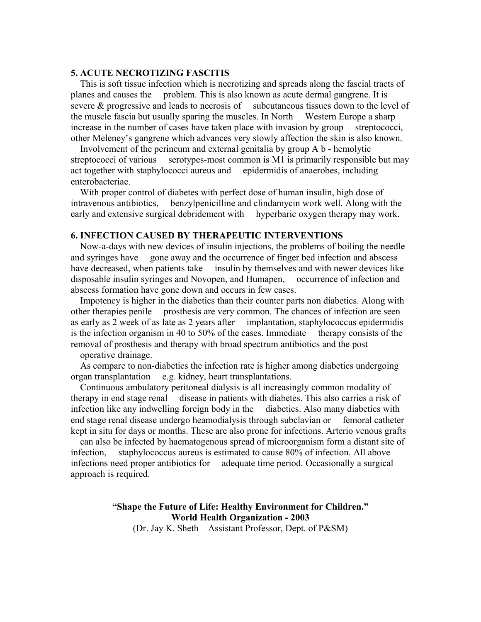#### **5. ACUTE NECROTIZING FASCITIS**

This is soft tissue infection which is necrotizing and spreads along the fascial tracts of planes and causes the problem. This is also known as acute dermal gangrene. It is severe & progressive and leads to necrosis of subcutaneous tissues down to the level of the muscle fascia but usually sparing the muscles. In North Western Europe a sharp increase in the number of cases have taken place with invasion by group streptococci, other Meleney's gangrene which advances very slowly affection the skin is also known.

Involvement of the perineum and external genitalia by group A b - hemolytic streptococci of various serotypes-most common is M1 is primarily responsible but may act together with staphylococci aureus and epidermidis of anaerobes, including enterobacteriae.

With proper control of diabetes with perfect dose of human insulin, high dose of intravenous antibiotics, benzylpenicilline and clindamycin work well. Along with the early and extensive surgical debridement with hyperbaric oxygen therapy may work.

#### **6. INFECTION CAUSED BY THERAPEUTIC INTERVENTIONS**

Now-a-days with new devices of insulin injections, the problems of boiling the needle and syringes have gone away and the occurrence of finger bed infection and abscess have decreased, when patients take insulin by themselves and with newer devices like disposable insulin syringes and Novopen, and Humapen, occurrence of infection and abscess formation have gone down and occurs in few cases.

Impotency is higher in the diabetics than their counter parts non diabetics. Along with other therapies penile prosthesis are very common. The chances of infection are seen as early as 2 week of as late as 2 years after implantation, staphylococcus epidermidis is the infection organism in 40 to 50% of the cases. Immediate therapy consists of the removal of prosthesis and therapy with broad spectrum antibiotics and the post

operative drainage.

As compare to non-diabetics the infection rate is higher among diabetics undergoing organ transplantation e.g. kidney, heart transplantations.

Continuous ambulatory peritoneal dialysis is all increasingly common modality of therapy in end stage renal disease in patients with diabetes. This also carries a risk of infection like any indwelling foreign body in the diabetics. Also many diabetics with end stage renal disease undergo heamodialysis through subclavian or femoral catheter kept in situ for days or months. These are also prone for infections. Arterio venous grafts

can also be infected by haematogenous spread of microorganism form a distant site of infection, staphylococcus aureus is estimated to cause 80% of infection. All above infections need proper antibiotics for adequate time period. Occasionally a surgical approach is required.

### **"Shape the Future of Life: Healthy Environment for Children." World Health Organization - 2003**

(Dr. Jay K. Sheth – Assistant Professor, Dept. of P&SM)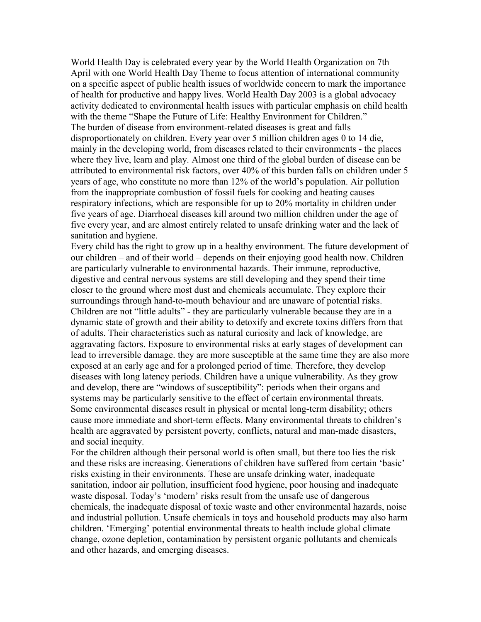World Health Day is celebrated every year by the World Health Organization on 7th April with one World Health Day Theme to focus attention of international community on a specific aspect of public health issues of worldwide concern to mark the importance of health for productive and happy lives. World Health Day 2003 is a global advocacy activity dedicated to environmental health issues with particular emphasis on child health with the theme "Shape the Future of Life: Healthy Environment for Children." The burden of disease from environment-related diseases is great and falls disproportionately on children. Every year over 5 million children ages 0 to 14 die, mainly in the developing world, from diseases related to their environments - the places where they live, learn and play. Almost one third of the global burden of disease can be attributed to environmental risk factors, over 40% of this burden falls on children under 5 years of age, who constitute no more than 12% of the world's population. Air pollution from the inappropriate combustion of fossil fuels for cooking and heating causes respiratory infections, which are responsible for up to 20% mortality in children under five years of age. Diarrhoeal diseases kill around two million children under the age of five every year, and are almost entirely related to unsafe drinking water and the lack of sanitation and hygiene.

Every child has the right to grow up in a healthy environment. The future development of our children – and of their world – depends on their enjoying good health now. Children are particularly vulnerable to environmental hazards. Their immune, reproductive, digestive and central nervous systems are still developing and they spend their time closer to the ground where most dust and chemicals accumulate. They explore their surroundings through hand-to-mouth behaviour and are unaware of potential risks. Children are not "little adults" - they are particularly vulnerable because they are in a dynamic state of growth and their ability to detoxify and excrete toxins differs from that of adults. Their characteristics such as natural curiosity and lack of knowledge, are aggravating factors. Exposure to environmental risks at early stages of development can lead to irreversible damage. they are more susceptible at the same time they are also more exposed at an early age and for a prolonged period of time. Therefore, they develop diseases with long latency periods. Children have a unique vulnerability. As they grow and develop, there are "windows of susceptibility": periods when their organs and systems may be particularly sensitive to the effect of certain environmental threats. Some environmental diseases result in physical or mental long-term disability; others cause more immediate and short-term effects. Many environmental threats to children's health are aggravated by persistent poverty, conflicts, natural and man-made disasters, and social inequity.

For the children although their personal world is often small, but there too lies the risk and these risks are increasing. Generations of children have suffered from certain 'basic' risks existing in their environments. These are unsafe drinking water, inadequate sanitation, indoor air pollution, insufficient food hygiene, poor housing and inadequate waste disposal. Today's 'modern' risks result from the unsafe use of dangerous chemicals, the inadequate disposal of toxic waste and other environmental hazards, noise and industrial pollution. Unsafe chemicals in toys and household products may also harm children. 'Emerging' potential environmental threats to health include global climate change, ozone depletion, contamination by persistent organic pollutants and chemicals and other hazards, and emerging diseases.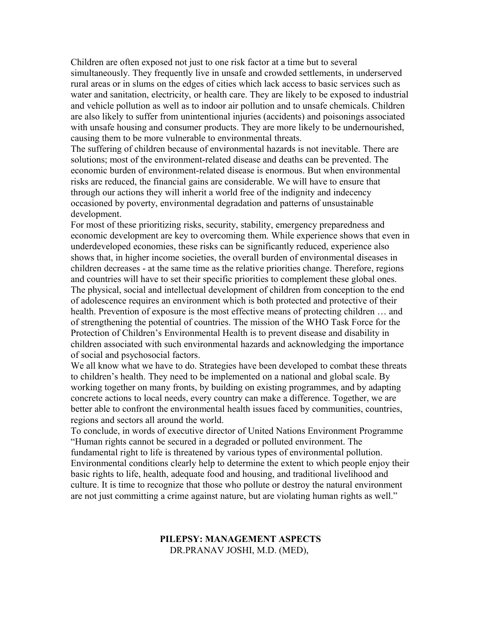Children are often exposed not just to one risk factor at a time but to several simultaneously. They frequently live in unsafe and crowded settlements, in underserved rural areas or in slums on the edges of cities which lack access to basic services such as water and sanitation, electricity, or health care. They are likely to be exposed to industrial and vehicle pollution as well as to indoor air pollution and to unsafe chemicals. Children are also likely to suffer from unintentional injuries (accidents) and poisonings associated with unsafe housing and consumer products. They are more likely to be undernourished, causing them to be more vulnerable to environmental threats.

The suffering of children because of environmental hazards is not inevitable. There are solutions; most of the environment-related disease and deaths can be prevented. The economic burden of environment-related disease is enormous. But when environmental risks are reduced, the financial gains are considerable. We will have to ensure that through our actions they will inherit a world free of the indignity and indecency occasioned by poverty, environmental degradation and patterns of unsustainable development.

For most of these prioritizing risks, security, stability, emergency preparedness and economic development are key to overcoming them. While experience shows that even in underdeveloped economies, these risks can be significantly reduced, experience also shows that, in higher income societies, the overall burden of environmental diseases in children decreases - at the same time as the relative priorities change. Therefore, regions and countries will have to set their specific priorities to complement these global ones. The physical, social and intellectual development of children from conception to the end of adolescence requires an environment which is both protected and protective of their health. Prevention of exposure is the most effective means of protecting children … and of strengthening the potential of countries. The mission of the WHO Task Force for the Protection of Children's Environmental Health is to prevent disease and disability in children associated with such environmental hazards and acknowledging the importance of social and psychosocial factors.

We all know what we have to do. Strategies have been developed to combat these threats to children's health. They need to be implemented on a national and global scale. By working together on many fronts, by building on existing programmes, and by adapting concrete actions to local needs, every country can make a difference. Together, we are better able to confront the environmental health issues faced by communities, countries, regions and sectors all around the world.

To conclude, in words of executive director of United Nations Environment Programme "Human rights cannot be secured in a degraded or polluted environment. The fundamental right to life is threatened by various types of environmental pollution. Environmental conditions clearly help to determine the extent to which people enjoy their basic rights to life, health, adequate food and housing, and traditional livelihood and culture. It is time to recognize that those who pollute or destroy the natural environment are not just committing a crime against nature, but are violating human rights as well."

#### **PILEPSY: MANAGEMENT ASPECTS** DR.PRANAV JOSHI, M.D. (MED),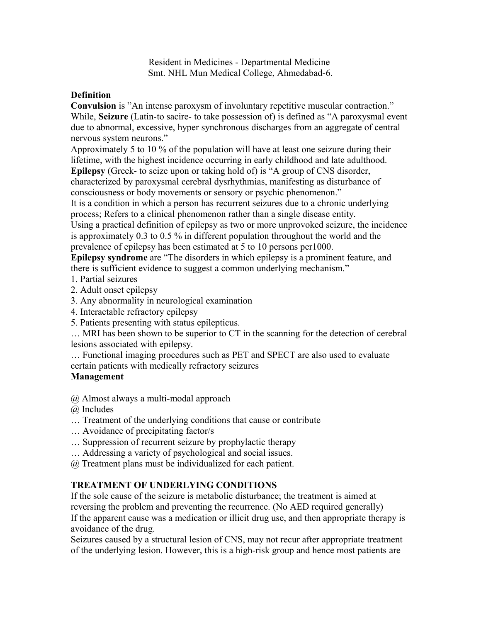Resident in Medicines - Departmental Medicine Smt. NHL Mun Medical College, Ahmedabad-6.

## **Definition**

**Convulsion** is "An intense paroxysm of involuntary repetitive muscular contraction." While, **Seizure** (Latin-to sacire- to take possession of) is defined as "A paroxysmal event due to abnormal, excessive, hyper synchronous discharges from an aggregate of central nervous system neurons."

Approximately 5 to 10 % of the population will have at least one seizure during their lifetime, with the highest incidence occurring in early childhood and late adulthood.

**Epilepsy** (Greek- to seize upon or taking hold of) is "A group of CNS disorder, characterized by paroxysmal cerebral dysrhythmias, manifesting as disturbance of consciousness or body movements or sensory or psychic phenomenon."

It is a condition in which a person has recurrent seizures due to a chronic underlying process; Refers to a clinical phenomenon rather than a single disease entity.

Using a practical definition of epilepsy as two or more unprovoked seizure, the incidence is approximately 0.3 to 0.5 % in different population throughout the world and the prevalence of epilepsy has been estimated at 5 to 10 persons per1000.

**Epilepsy syndrome** are "The disorders in which epilepsy is a prominent feature, and there is sufficient evidence to suggest a common underlying mechanism."

- 1. Partial seizures
- 2. Adult onset epilepsy
- 3. Any abnormality in neurological examination
- 4. Interactable refractory epilepsy
- 5. Patients presenting with status epilepticus.

… MRI has been shown to be superior to CT in the scanning for the detection of cerebral lesions associated with epilepsy.

… Functional imaging procedures such as PET and SPECT are also used to evaluate certain patients with medically refractory seizures

# **Management**

- @ Almost always a multi-modal approach
- @ Includes
- … Treatment of the underlying conditions that cause or contribute
- … Avoidance of precipitating factor/s
- … Suppression of recurrent seizure by prophylactic therapy
- … Addressing a variety of psychological and social issues.
- @ Treatment plans must be individualized for each patient.

# **TREATMENT OF UNDERLYING CONDITIONS**

If the sole cause of the seizure is metabolic disturbance; the treatment is aimed at reversing the problem and preventing the recurrence. (No AED required generally) If the apparent cause was a medication or illicit drug use, and then appropriate therapy is avoidance of the drug.

Seizures caused by a structural lesion of CNS, may not recur after appropriate treatment of the underlying lesion. However, this is a high-risk group and hence most patients are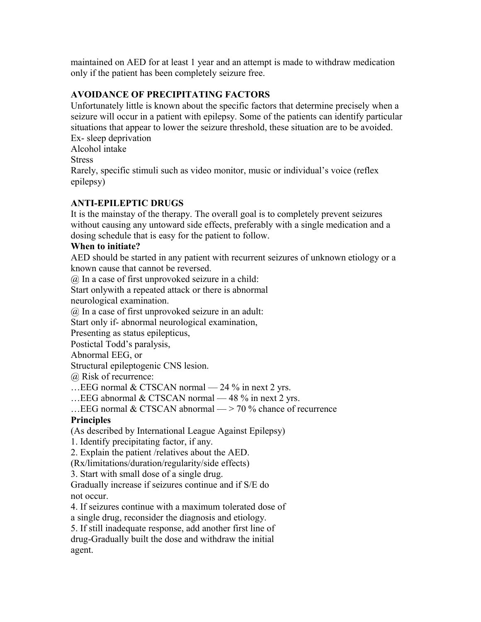maintained on AED for at least 1 year and an attempt is made to withdraw medication only if the patient has been completely seizure free.

# **AVOIDANCE OF PRECIPITATING FACTORS**

Unfortunately little is known about the specific factors that determine precisely when a seizure will occur in a patient with epilepsy. Some of the patients can identify particular situations that appear to lower the seizure threshold, these situation are to be avoided.

Ex- sleep deprivation Alcohol intake

**Stress** 

Rarely, specific stimuli such as video monitor, music or individual's voice (reflex epilepsy)

# **ANTI-EPILEPTIC DRUGS**

It is the mainstay of the therapy. The overall goal is to completely prevent seizures without causing any untoward side effects, preferably with a single medication and a dosing schedule that is easy for the patient to follow.

# **When to initiate?**

AED should be started in any patient with recurrent seizures of unknown etiology or a known cause that cannot be reversed.

@ In a case of first unprovoked seizure in a child:

Start onlywith a repeated attack or there is abnormal

neurological examination.

@ In a case of first unprovoked seizure in an adult:

Start only if- abnormal neurological examination,

Presenting as status epilepticus,

Postictal Todd's paralysis,

Abnormal EEG, or

Structural epileptogenic CNS lesion.

@ Risk of recurrence:

... EEG normal  $& CTSCAN$  normal  $-$  24 % in next 2 yrs.

…EEG abnormal & CTSCAN normal — 48 % in next 2 yrs.

... EEG normal  $& CTSCAN$  abnormal  $\rightarrow$  70 % chance of recurrence

# **Principles**

(As described by International League Against Epilepsy)

1. Identify precipitating factor, if any.

2. Explain the patient /relatives about the AED.

(Rx/limitations/duration/regularity/side effects)

3. Start with small dose of a single drug.

Gradually increase if seizures continue and if S/E do not occur.

4. If seizures continue with a maximum tolerated dose of

a single drug, reconsider the diagnosis and etiology.

5. If still inadequate response, add another first line of drug-Gradually built the dose and withdraw the initial agent.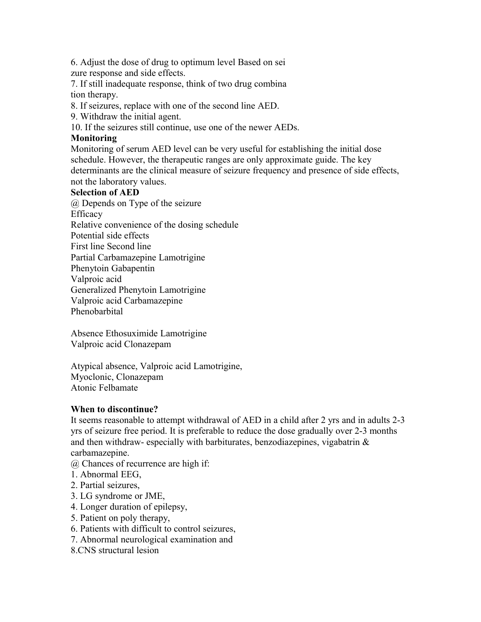6. Adjust the dose of drug to optimum level Based on sei zure response and side effects.

7. If still inadequate response, think of two drug combina tion therapy.

8. If seizures, replace with one of the second line AED.

9. Withdraw the initial agent.

10. If the seizures still continue, use one of the newer AEDs.

## **Monitoring**

Monitoring of serum AED level can be very useful for establishing the initial dose schedule. However, the therapeutic ranges are only approximate guide. The key determinants are the clinical measure of seizure frequency and presence of side effects, not the laboratory values.

## **Selection of AED**

@ Depends on Type of the seizure Efficacy Relative convenience of the dosing schedule Potential side effects First line Second line Partial Carbamazepine Lamotrigine Phenytoin Gabapentin Valproic acid Generalized Phenytoin Lamotrigine Valproic acid Carbamazepine Phenobarbital

Absence Ethosuximide Lamotrigine Valproic acid Clonazepam

Atypical absence, Valproic acid Lamotrigine, Myoclonic, Clonazepam Atonic Felbamate

# **When to discontinue?**

It seems reasonable to attempt withdrawal of AED in a child after 2 yrs and in adults 2-3 yrs of seizure free period. It is preferable to reduce the dose gradually over 2-3 months and then withdraw- especially with barbiturates, benzodiazepines, vigabatrin  $\&$ carbamazepine.

@ Chances of recurrence are high if:

- 1. Abnormal EEG,
- 2. Partial seizures,
- 3. LG syndrome or JME,
- 4. Longer duration of epilepsy,
- 5. Patient on poly therapy,
- 6. Patients with difficult to control seizures,
- 7. Abnormal neurological examination and
- 8.CNS structural lesion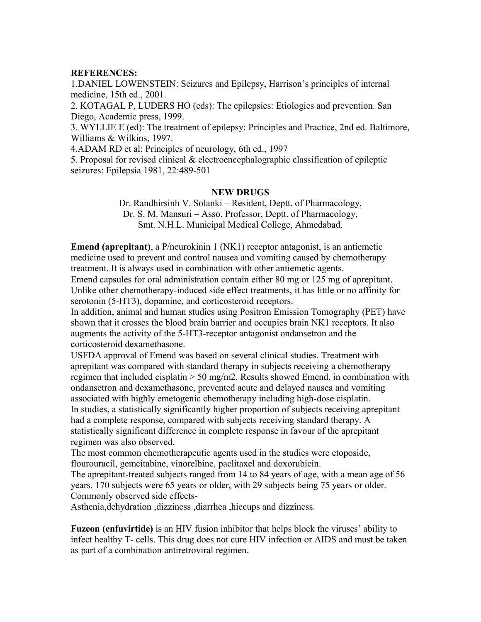### **REFERENCES:**

1.DANIEL LOWENSTEIN: Seizures and Epilepsy, Harrison's principles of internal medicine, 15th ed., 2001.

2. KOTAGAL P, LUDERS HO (eds): The epilepsies: Etiologies and prevention. San Diego, Academic press, 1999.

3. WYLLIE E (ed): The treatment of epilepsy: Principles and Practice, 2nd ed. Baltimore, Williams & Wilkins, 1997.

4.ADAM RD et al: Principles of neurology, 6th ed., 1997

5. Proposal for revised clinical & electroencephalographic classification of epileptic seizures: Epilepsia 1981, 22:489-501

### **NEW DRUGS**

Dr. Randhirsinh V. Solanki – Resident, Deptt. of Pharmacology, Dr. S. M. Mansuri – Asso. Professor, Deptt. of Pharmacology, Smt. N.H.L. Municipal Medical College, Ahmedabad.

**Emend (aprepitant)**, a P/neurokinin 1 (NK1) receptor antagonist, is an antiemetic medicine used to prevent and control nausea and vomiting caused by chemotherapy treatment. It is always used in combination with other antiemetic agents. Emend capsules for oral administration contain either 80 mg or 125 mg of aprepitant. Unlike other chemotherapy-induced side effect treatments, it has little or no affinity for serotonin (5-HT3), dopamine, and corticosteroid receptors.

In addition, animal and human studies using Positron Emission Tomography (PET) have shown that it crosses the blood brain barrier and occupies brain NK1 receptors. It also augments the activity of the 5-HT3-receptor antagonist ondansetron and the corticosteroid dexamethasone.

USFDA approval of Emend was based on several clinical studies. Treatment with aprepitant was compared with standard therapy in subjects receiving a chemotherapy regimen that included cisplatin > 50 mg/m2. Results showed Emend, in combination with ondansetron and dexamethasone, prevented acute and delayed nausea and vomiting associated with highly emetogenic chemotherapy including high-dose cisplatin. In studies, a statistically significantly higher proportion of subjects receiving aprepitant had a complete response, compared with subjects receiving standard therapy. A statistically significant difference in complete response in favour of the aprepitant regimen was also observed.

The most common chemotherapeutic agents used in the studies were etoposide, flourouracil, gemcitabine, vinorelbine, paclitaxel and doxorubicin.

The aprepitant-treated subjects ranged from 14 to 84 years of age, with a mean age of 56 years. 170 subjects were 65 years or older, with 29 subjects being 75 years or older. Commonly observed side effects-

Asthenia,dehydration ,dizziness ,diarrhea ,hiccups and dizziness.

**Fuzeon (enfuvirtide)** is an HIV fusion inhibitor that helps block the viruses' ability to infect healthy T- cells. This drug does not cure HIV infection or AIDS and must be taken as part of a combination antiretroviral regimen.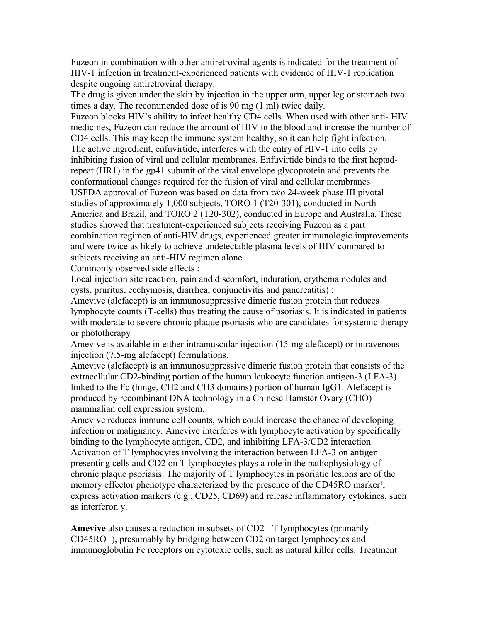Fuzeon in combination with other antiretroviral agents is indicated for the treatment of HIV-1 infection in treatment-experienced patients with evidence of HIV-1 replication despite ongoing antiretroviral therapy.

The drug is given under the skin by injection in the upper arm, upper leg or stomach two times a day. The recommended dose of is 90 mg (1 ml) twice daily.

Fuzeon blocks HIV's ability to infect healthy CD4 cells. When used with other anti- HIV medicines, Fuzeon can reduce the amount of HIV in the blood and increase the number of CD4 cells. This may keep the immune system healthy, so it can help fight infection. The active ingredient, enfuvirtide, interferes with the entry of HIV-1 into cells by inhibiting fusion of viral and cellular membranes. Enfuvirtide binds to the first heptadrepeat (HR1) in the gp41 subunit of the viral envelope glycoprotein and prevents the conformational changes required for the fusion of viral and cellular membranes USFDA approval of Fuzeon was based on data from two 24-week phase III pivotal studies of approximately 1,000 subjects, TORO 1 (T20-301), conducted in North America and Brazil, and TORO 2 (T20-302), conducted in Europe and Australia. These studies showed that treatment-experienced subjects receiving Fuzeon as a part combination regimen of anti-HIV drugs, experienced greater immunologic improvements and were twice as likely to achieve undetectable plasma levels of HIV compared to subjects receiving an anti-HIV regimen alone.

Commonly observed side effects :

Local injection site reaction, pain and discomfort, induration, erythema nodules and cysts, pruritus, ecchymosis, diarrhea, conjunctivitis and pancreatitis) :

Amevive (alefacept) is an immunosuppressive dimeric fusion protein that reduces lymphocyte counts (T-cells) thus treating the cause of psoriasis. It is indicated in patients with moderate to severe chronic plaque psoriasis who are candidates for systemic therapy or phototherapy

Amevive is available in either intramuscular injection (15-mg alefacept) or intravenous injection (7.5-mg alefacept) formulations.

Amevive (alefacept) is an immunosuppressive dimeric fusion protein that consists of the extracellular CD2-binding portion of the human leukocyte function antigen-3 (LFA-3) linked to the Fc (hinge, CH2 and CH3 domains) portion of human IgG1. Alefacept is produced by recombinant DNA technology in a Chinese Hamster Ovary (CHO) mammalian cell expression system.

Amevive reduces immune cell counts, which could increase the chance of developing infection or malignancy. Amevive interferes with lymphocyte activation by specifically binding to the lymphocyte antigen, CD2, and inhibiting LFA-3/CD2 interaction. Activation of T lymphocytes involving the interaction between LFA-3 on antigen presenting cells and CD2 on T lymphocytes plays a role in the pathophysiology of chronic plaque psoriasis. The majority of T lymphocytes in psoriatic lesions are of the memory effector phenotype characterized by the presence of the CD45RO marker<sup>1</sup>, express activation markers (e.g., CD25, CD69) and release inflammatory cytokines, such as interferon y.

**Amevive** also causes a reduction in subsets of CD2+ T lymphocytes (primarily CD45RO+), presumably by bridging between CD2 on target lymphocytes and immunoglobulin Fc receptors on cytotoxic cells, such as natural killer cells. Treatment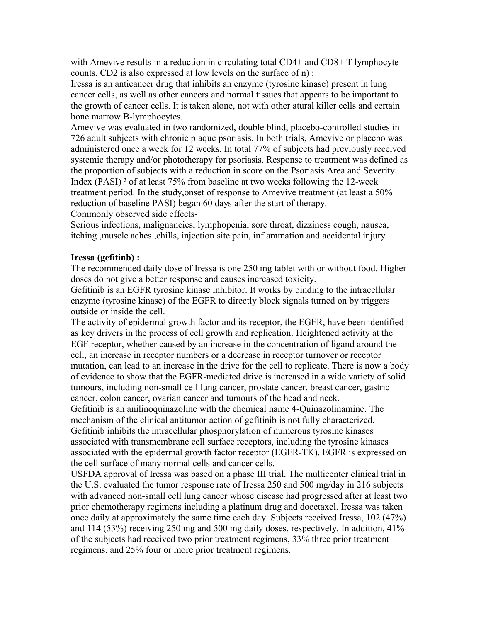with Amevive results in a reduction in circulating total CD4+ and CD8+ T lymphocyte counts. CD2 is also expressed at low levels on the surface of n) :

Iressa is an anticancer drug that inhibits an enzyme (tyrosine kinase) present in lung cancer cells, as well as other cancers and normal tissues that appears to be important to the growth of cancer cells. It is taken alone, not with other atural killer cells and certain bone marrow B-lymphocytes.

Amevive was evaluated in two randomized, double blind, placebo-controlled studies in 726 adult subjects with chronic plaque psoriasis. In both trials, Amevive or placebo was administered once a week for 12 weeks. In total 77% of subjects had previously received systemic therapy and/or phototherapy for psoriasis. Response to treatment was defined as the proportion of subjects with a reduction in score on the Psoriasis Area and Severity Index (PASI) ³ of at least 75% from baseline at two weeks following the 12-week treatment period. In the study,onset of response to Amevive treatment (at least a 50% reduction of baseline PASI) began 60 days after the start of therapy.

Commonly observed side effects-

Serious infections, malignancies, lymphopenia, sore throat, dizziness cough, nausea, itching ,muscle aches ,chills, injection site pain, inflammation and accidental injury .

### **Iressa (gefitinb) :**

The recommended daily dose of Iressa is one 250 mg tablet with or without food. Higher doses do not give a better response and causes increased toxicity.

Gefitinib is an EGFR tyrosine kinase inhibitor. It works by binding to the intracellular enzyme (tyrosine kinase) of the EGFR to directly block signals turned on by triggers outside or inside the cell.

The activity of epidermal growth factor and its receptor, the EGFR, have been identified as key drivers in the process of cell growth and replication. Heightened activity at the EGF receptor, whether caused by an increase in the concentration of ligand around the cell, an increase in receptor numbers or a decrease in receptor turnover or receptor mutation, can lead to an increase in the drive for the cell to replicate. There is now a body of evidence to show that the EGFR-mediated drive is increased in a wide variety of solid tumours, including non-small cell lung cancer, prostate cancer, breast cancer, gastric cancer, colon cancer, ovarian cancer and tumours of the head and neck.

Gefitinib is an anilinoquinazoline with the chemical name 4-Quinazolinamine. The mechanism of the clinical antitumor action of gefitinib is not fully characterized. Gefitinib inhibits the intracellular phosphorylation of numerous tyrosine kinases associated with transmembrane cell surface receptors, including the tyrosine kinases associated with the epidermal growth factor receptor (EGFR-TK). EGFR is expressed on the cell surface of many normal cells and cancer cells.

USFDA approval of Iressa was based on a phase III trial. The multicenter clinical trial in the U.S. evaluated the tumor response rate of Iressa 250 and 500 mg/day in 216 subjects with advanced non-small cell lung cancer whose disease had progressed after at least two prior chemotherapy regimens including a platinum drug and docetaxel. Iressa was taken once daily at approximately the same time each day. Subjects received Iressa, 102 (47%) and 114 (53%) receiving 250 mg and 500 mg daily doses, respectively. In addition, 41% of the subjects had received two prior treatment regimens, 33% three prior treatment regimens, and 25% four or more prior treatment regimens.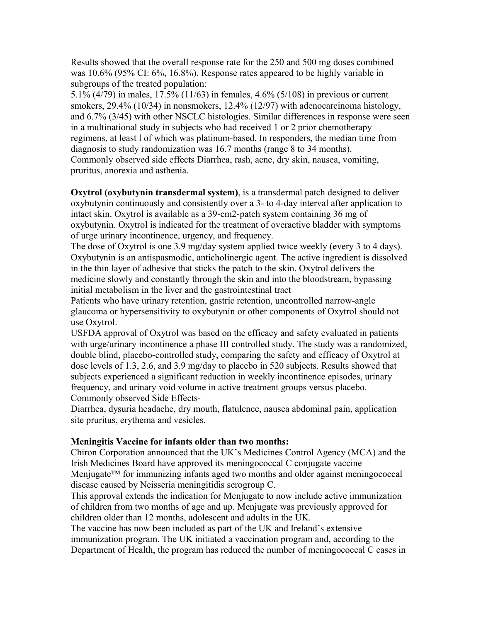Results showed that the overall response rate for the 250 and 500 mg doses combined was 10.6% (95% CI: 6%, 16.8%). Response rates appeared to be highly variable in subgroups of the treated population:

5.1% (4/79) in males, 17.5% (11/63) in females, 4.6% (5/108) in previous or current smokers, 29.4% (10/34) in nonsmokers, 12.4% (12/97) with adenocarcinoma histology, and 6.7% (3/45) with other NSCLC histologies. Similar differences in response were seen in a multinational study in subjects who had received 1 or 2 prior chemotherapy regimens, at least l of which was platinum-based. In responders, the median time from diagnosis to study randomization was 16.7 months (range 8 to 34 months). Commonly observed side effects Diarrhea, rash, acne, dry skin, nausea, vomiting, pruritus, anorexia and asthenia.

**Oxytrol (oxybutynin transdermal system)**, is a transdermal patch designed to deliver oxybutynin continuously and consistently over a 3- to 4-day interval after application to intact skin. Oxytrol is available as a 39-cm2-patch system containing 36 mg of oxybutynin. Oxytrol is indicated for the treatment of overactive bladder with symptoms of urge urinary incontinence, urgency, and frequency.

The dose of Oxytrol is one 3.9 mg/day system applied twice weekly (every 3 to 4 days). Oxybutynin is an antispasmodic, anticholinergic agent. The active ingredient is dissolved in the thin layer of adhesive that sticks the patch to the skin. Oxytrol delivers the medicine slowly and constantly through the skin and into the bloodstream, bypassing initial metabolism in the liver and the gastrointestinal tract

Patients who have urinary retention, gastric retention, uncontrolled narrow-angle glaucoma or hypersensitivity to oxybutynin or other components of Oxytrol should not use Oxytrol.

USFDA approval of Oxytrol was based on the efficacy and safety evaluated in patients with urge/urinary incontinence a phase III controlled study. The study was a randomized, double blind, placebo-controlled study, comparing the safety and efficacy of Oxytrol at dose levels of 1.3, 2.6, and 3.9 mg/day to placebo in 520 subjects. Results showed that subjects experienced a significant reduction in weekly incontinence episodes, urinary frequency, and urinary void volume in active treatment groups versus placebo. Commonly observed Side Effects-

Diarrhea, dysuria headache, dry mouth, flatulence, nausea abdominal pain, application site pruritus, erythema and vesicles.

# **Meningitis Vaccine for infants older than two months:**

Chiron Corporation announced that the UK's Medicines Control Agency (MCA) and the Irish Medicines Board have approved its meningococcal C conjugate vaccine Menjugate™ for immunizing infants aged two months and older against meningococcal disease caused by Neisseria meningitidis serogroup C.

This approval extends the indication for Menjugate to now include active immunization of children from two months of age and up. Menjugate was previously approved for children older than 12 months, adolescent and adults in the UK.

The vaccine has now been included as part of the UK and Ireland's extensive immunization program. The UK initiated a vaccination program and, according to the Department of Health, the program has reduced the number of meningococcal C cases in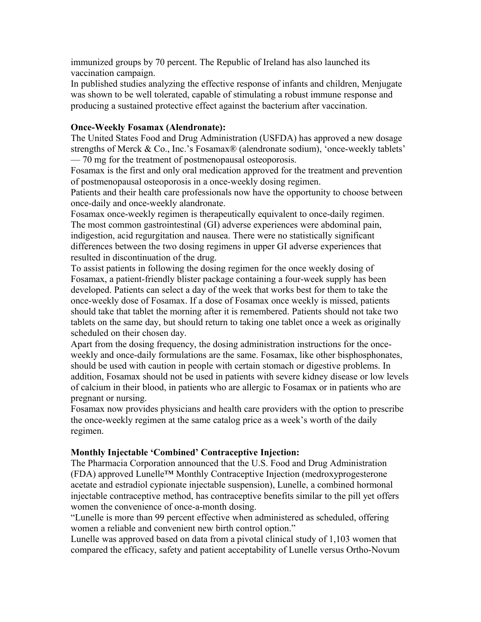immunized groups by 70 percent. The Republic of Ireland has also launched its vaccination campaign.

In published studies analyzing the effective response of infants and children, Menjugate was shown to be well tolerated, capable of stimulating a robust immune response and producing a sustained protective effect against the bacterium after vaccination.

# **Once-Weekly Fosamax (Alendronate):**

The United States Food and Drug Administration (USFDA) has approved a new dosage strengths of Merck & Co., Inc.'s Fosamax® (alendronate sodium), 'once-weekly tablets' — 70 mg for the treatment of postmenopausal osteoporosis.

Fosamax is the first and only oral medication approved for the treatment and prevention of postmenopausal osteoporosis in a once-weekly dosing regimen.

Patients and their health care professionals now have the opportunity to choose between once-daily and once-weekly alandronate.

Fosamax once-weekly regimen is therapeutically equivalent to once-daily regimen. The most common gastrointestinal (GI) adverse experiences were abdominal pain, indigestion, acid regurgitation and nausea. There were no statistically significant differences between the two dosing regimens in upper GI adverse experiences that resulted in discontinuation of the drug.

To assist patients in following the dosing regimen for the once weekly dosing of Fosamax, a patient-friendly blister package containing a four-week supply has been developed. Patients can select a day of the week that works best for them to take the once-weekly dose of Fosamax. If a dose of Fosamax once weekly is missed, patients should take that tablet the morning after it is remembered. Patients should not take two tablets on the same day, but should return to taking one tablet once a week as originally scheduled on their chosen day.

Apart from the dosing frequency, the dosing administration instructions for the onceweekly and once-daily formulations are the same. Fosamax, like other bisphosphonates, should be used with caution in people with certain stomach or digestive problems. In addition, Fosamax should not be used in patients with severe kidney disease or low levels of calcium in their blood, in patients who are allergic to Fosamax or in patients who are pregnant or nursing.

Fosamax now provides physicians and health care providers with the option to prescribe the once-weekly regimen at the same catalog price as a week's worth of the daily regimen.

### **Monthly Injectable 'Combined' Contraceptive Injection:**

The Pharmacia Corporation announced that the U.S. Food and Drug Administration (FDA) approved Lunelle™ Monthly Contraceptive Injection (medroxyprogesterone acetate and estradiol cypionate injectable suspension), Lunelle, a combined hormonal injectable contraceptive method, has contraceptive benefits similar to the pill yet offers women the convenience of once-a-month dosing.

"Lunelle is more than 99 percent effective when administered as scheduled, offering women a reliable and convenient new birth control option."

Lunelle was approved based on data from a pivotal clinical study of 1,103 women that compared the efficacy, safety and patient acceptability of Lunelle versus Ortho-Novum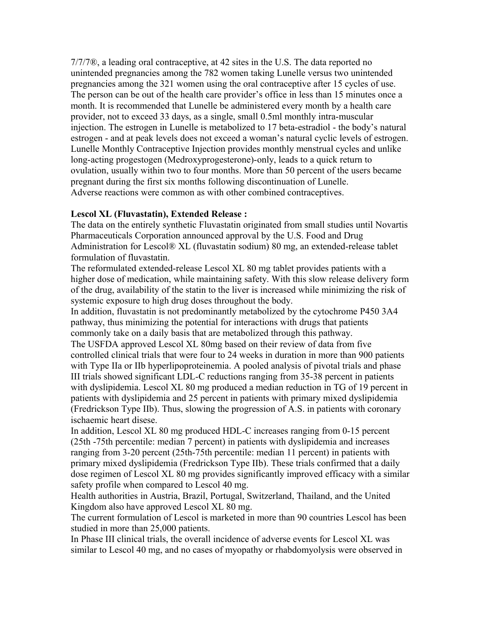$7/7/7\mathcal{D}$ , a leading oral contraceptive, at 42 sites in the U.S. The data reported no unintended pregnancies among the 782 women taking Lunelle versus two unintended pregnancies among the 321 women using the oral contraceptive after 15 cycles of use. The person can be out of the health care provider's office in less than 15 minutes once a month. It is recommended that Lunelle be administered every month by a health care provider, not to exceed 33 days, as a single, small 0.5ml monthly intra-muscular injection. The estrogen in Lunelle is metabolized to 17 beta-estradiol - the body's natural estrogen - and at peak levels does not exceed a woman's natural cyclic levels of estrogen. Lunelle Monthly Contraceptive Injection provides monthly menstrual cycles and unlike long-acting progestogen (Medroxyprogesterone)-only, leads to a quick return to ovulation, usually within two to four months. More than 50 percent of the users became pregnant during the first six months following discontinuation of Lunelle. Adverse reactions were common as with other combined contraceptives.

#### **Lescol XL (Fluvastatin), Extended Release :**

The data on the entirely synthetic Fluvastatin originated from small studies until Novartis Pharmaceuticals Corporation announced approval by the U.S. Food and Drug Administration for Lescol® XL (fluvastatin sodium) 80 mg, an extended-release tablet formulation of fluvastatin.

The reformulated extended-release Lescol XL 80 mg tablet provides patients with a higher dose of medication, while maintaining safety. With this slow release delivery form of the drug, availability of the statin to the liver is increased while minimizing the risk of systemic exposure to high drug doses throughout the body.

In addition, fluvastatin is not predominantly metabolized by the cytochrome P450 3A4 pathway, thus minimizing the potential for interactions with drugs that patients commonly take on a daily basis that are metabolized through this pathway.

The USFDA approved Lescol XL 80mg based on their review of data from five controlled clinical trials that were four to 24 weeks in duration in more than 900 patients with Type IIa or IIb hyperlipoproteinemia. A pooled analysis of pivotal trials and phase III trials showed significant LDL-C reductions ranging from 35-38 percent in patients with dyslipidemia. Lescol XL 80 mg produced a median reduction in TG of 19 percent in patients with dyslipidemia and 25 percent in patients with primary mixed dyslipidemia (Fredrickson Type IIb). Thus, slowing the progression of A.S. in patients with coronary ischaemic heart disese.

In addition, Lescol XL 80 mg produced HDL-C increases ranging from 0-15 percent (25th -75th percentile: median 7 percent) in patients with dyslipidemia and increases ranging from 3-20 percent (25th-75th percentile: median 11 percent) in patients with primary mixed dyslipidemia (Fredrickson Type IIb). These trials confirmed that a daily dose regimen of Lescol XL 80 mg provides significantly improved efficacy with a similar safety profile when compared to Lescol 40 mg.

Health authorities in Austria, Brazil, Portugal, Switzerland, Thailand, and the United Kingdom also have approved Lescol XL 80 mg.

The current formulation of Lescol is marketed in more than 90 countries Lescol has been studied in more than 25,000 patients.

In Phase III clinical trials, the overall incidence of adverse events for Lescol XL was similar to Lescol 40 mg, and no cases of myopathy or rhabdomyolysis were observed in